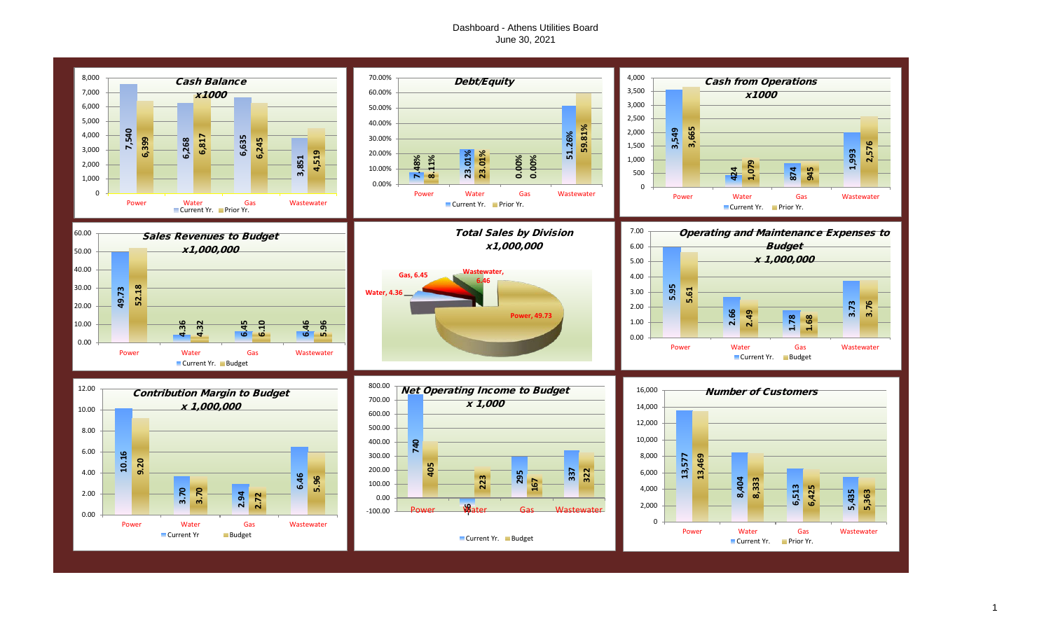# Dashboard - Athens Utilities Board June 30, 2021

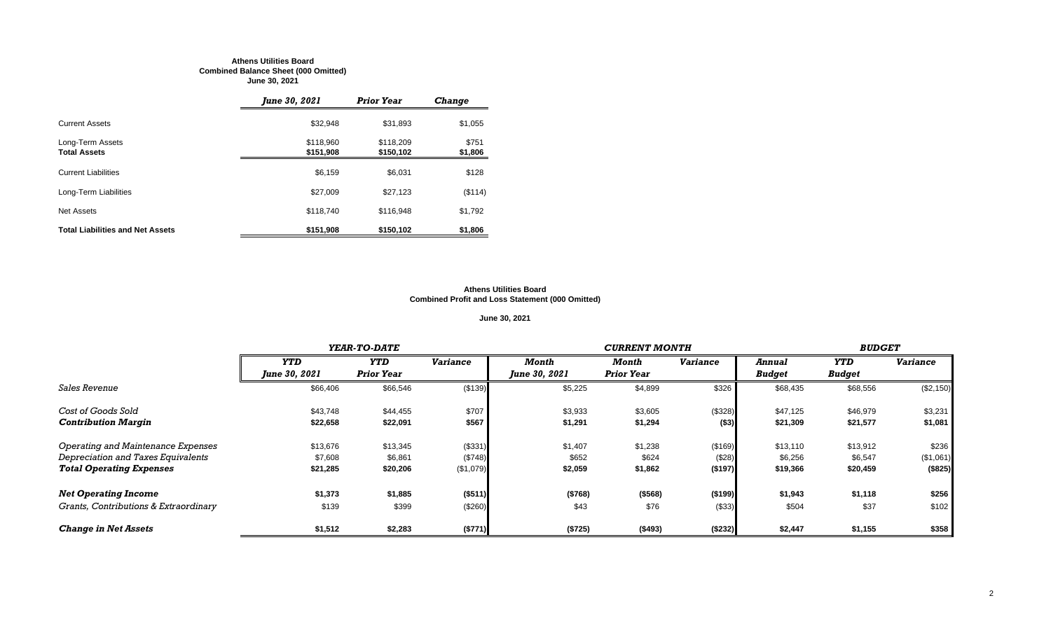#### **Athens Utilities Board Combined Balance Sheet (000 Omitted) June 30, 2021**

|                                         | June 30, 2021          | <b>Prior Year</b>      | <b>Change</b>    |
|-----------------------------------------|------------------------|------------------------|------------------|
| <b>Current Assets</b>                   | \$32,948               | \$31,893               | \$1,055          |
| Long-Term Assets<br><b>Total Assets</b> | \$118,960<br>\$151,908 | \$118,209<br>\$150,102 | \$751<br>\$1,806 |
| <b>Current Liabilities</b>              | \$6,159                | \$6,031                | \$128            |
| Long-Term Liabilities                   | \$27,009               | \$27,123               | (\$114)          |
| Net Assets                              | \$118,740              | \$116.948              | \$1,792          |
| <b>Total Liabilities and Net Assets</b> | \$151,908              | \$150.102              | \$1,806          |

#### **Athens Utilities Board Combined Profit and Loss Statement (000 Omitted)**

# **June 30, 2021**

|                                       |                      | YEAR-TO-DATE      |                 |                      | <b>CURRENT MONTH</b> |                 |               |               |                 |  |
|---------------------------------------|----------------------|-------------------|-----------------|----------------------|----------------------|-----------------|---------------|---------------|-----------------|--|
|                                       | <b>YTD</b>           | <b>YTD</b>        | <b>Variance</b> | Month                | Month                | <b>Variance</b> | Annual        | <b>YTD</b>    | <b>Variance</b> |  |
|                                       | <b>June 30, 2021</b> | <b>Prior Year</b> |                 | <b>June 30, 2021</b> | <b>Prior Year</b>    |                 | <b>Budget</b> | <b>Budget</b> |                 |  |
| <i>Sales Revenue</i>                  | \$66,406             | \$66,546          | (\$139)         | \$5,225              | \$4,899              | \$326           | \$68,435      | \$68,556      | (\$2,150)       |  |
| Cost of Goods Sold                    | \$43,748             | \$44,455          | \$707           | \$3,933              | \$3,605              | (\$328)         | \$47,125      | \$46,979      | \$3,231         |  |
| <b>Contribution Margin</b>            | \$22,658             | \$22,091          | \$567           | \$1,291              | \$1,294              | ( \$3)          | \$21,309      | \$21,577      | \$1,081         |  |
| Operating and Maintenance Expenses    | \$13,676             | \$13,345          | (\$331)         | \$1,407              | \$1,238              | (\$169)         | \$13,110      | \$13,912      | \$236           |  |
| Depreciation and Taxes Equivalents    | \$7,608              | \$6,861           | (\$748)         | \$652                | \$624                | (\$28)          | \$6,256       | \$6,547       | (\$1,061)       |  |
| <b>Total Operating Expenses</b>       | \$21,285             | \$20,206          | (\$1,079)       | \$2,059              | \$1,862              | ( \$197)        | \$19,366      | \$20,459      | (\$825)         |  |
| <b>Net Operating Income</b>           | \$1,373              | \$1,885           | (\$511)         | (\$768)              | ( \$568)             | ( \$199)        | \$1,943       | \$1,118       | \$256           |  |
| Grants, Contributions & Extraordinary | \$139                | \$399             | (\$260)         | \$43                 | \$76                 | (\$33)          | \$504         | \$37          | \$102           |  |
| <b>Change in Net Assets</b>           | \$1,512              | \$2,283           | (\$771)         | (\$725)              | (\$493)              | ( \$232)        | \$2,447       | \$1,155       | \$358           |  |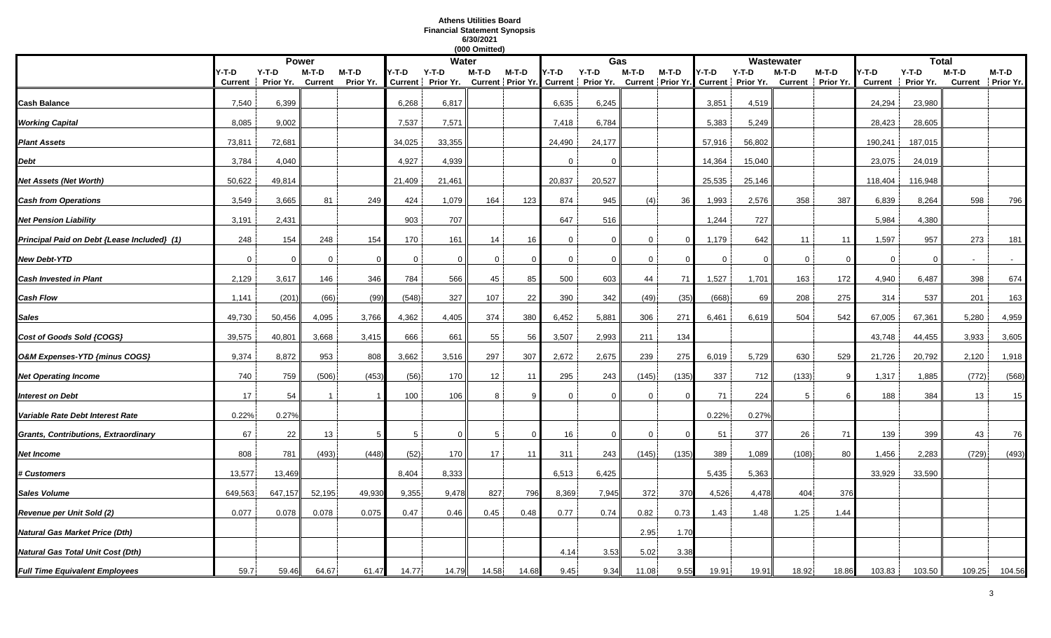# **Athens Utilities Board Financial Statement Synopsis 6/30/2021**

|                                             |                  |                      |                  |                      |             |                            | (000 Omitted) |          |              |                                                                                            |             |          |             |          |             |                            |                         |                      |         |                              |
|---------------------------------------------|------------------|----------------------|------------------|----------------------|-------------|----------------------------|---------------|----------|--------------|--------------------------------------------------------------------------------------------|-------------|----------|-------------|----------|-------------|----------------------------|-------------------------|----------------------|---------|------------------------------|
|                                             |                  |                      | <b>Power</b>     |                      |             | <b>Water</b>               |               |          |              | Gas                                                                                        |             |          |             |          | Wastewater  |                            |                         | <b>Total</b>         |         |                              |
|                                             | Y-T-D<br>Current | $Y-T-D$<br>Prior Yr. | M-T-D<br>Current | $M-T-D$<br>Prior Yr. | Y-T-D       | Y-T-D<br>Current Prior Yr. | M-T-D         | $M-T-D$  | Y-T-D        | $Y-T-D$<br>Current   Prior Yr. Current   Prior Yr. Current   Prior Yr. Current   Prior Yr. | $M-T-D$     | M-T-D    | Y-T-D       | $Y-T-D$  | M-T-D       | M-T-D<br>Current Prior Yr. | /-T-D<br><b>Current</b> | $Y-T-D$<br>Prior Yr. | $M-T-D$ | $M-T-D$<br>Current Prior Yr. |
| Cash Balance                                | 7,540            | 6,399                |                  |                      | 6,268       | 6,817                      |               |          | 6,635        | 6,245                                                                                      |             |          | 3,851       | 4,519    |             |                            | 24,294                  | 23,980               |         |                              |
| <b>Working Capital</b>                      | 8,085            | 9,002                |                  |                      | 7,537       | 7,571                      |               |          | 7,418        | 6,784                                                                                      |             |          | 5.383       | 5,249    |             |                            | 28,423                  | 28,605               |         |                              |
| <b>Plant Assets</b>                         | 73,811           | 72,681               |                  |                      | 34,025      | 33,355                     |               |          | 24,490       | 24,177                                                                                     |             |          | 57,916      | 56,802   |             |                            | 190,241                 | 187,015              |         |                              |
| Debt                                        | 3,784            | 4,040                |                  |                      | 4,927       | 4,939                      |               |          |              | $\Omega$                                                                                   |             |          | 14,364      | 15,040   |             |                            | 23,075                  | 24,019               |         |                              |
| Net Assets (Net Worth)                      | 50,622           | 49,814               |                  |                      | 21,409      | 21,461                     |               |          | 20,837       | 20,527                                                                                     |             |          | 25,535      | 25,146   |             |                            | 118,404                 | 116,948              |         |                              |
| <b>Cash from Operations</b>                 | 3,549            | 3,665                | 81               | 249                  | 424         | 1,079                      | 164           | 123      | 874          | 945                                                                                        | (4)         | 36       | 1,993       | 2,576    | 358         | 387                        | 6,839                   | 8,264                | 598     | 796                          |
| <b>Net Pension Liability</b>                | 3,191            | 2,431                |                  |                      | 903         | 707                        |               |          | 647          | 516                                                                                        |             |          | 1,244       | 727      |             |                            | 5,984                   | 4,380                |         |                              |
| Principal Paid on Debt {Lease Included} (1) | 248              | 154                  | 248              | 154                  | 170         | 161                        | 14            | 16       | $\mathbf{0}$ | $\Omega$                                                                                   | $\Omega$    | C        | 1,179       | 642      | 11          | 11                         | 1,597                   | 957                  | 273     | 181                          |
| <b>New Debt-YTD</b>                         | $\overline{0}$   | $\mathbf 0$          | $\mathbf 0$      | $\Omega$             | $\mathbf 0$ | $\mathbf 0$                | $\mathbf 0$   |          | $\mathbf 0$  | $\overline{0}$                                                                             | $\mathbf 0$ | $\Omega$ | $\mathbf 0$ | $\Omega$ | $\mathbf 0$ | -0                         | $\mathbf 0$             | $\Omega$             | $\sim$  |                              |
| <b>Cash Invested in Plant</b>               | 2,129            | 3,617                | 146              | 346                  | 784         | 566                        | 45            | 85       | 500          | 603                                                                                        | 44          | 71       | 1,527       | 1,701    | 163         | 172                        | 4,940                   | 6,487                | 398     | 674                          |
| Cash Flow                                   | 1,141            | (201)                | (66)             | (99)                 | (548)       | 327                        | 107           | 22       | 390          | 342                                                                                        | (49)        | (35)     | (668)       | 69       | 208         | 275                        | 314                     | 537                  | 201     | 163                          |
| Sales                                       | 49,730           | 50,456               | 4,095            | 3,766                | 4,362       | 4,405                      | 374           | 380      | 6,452        | 5,881                                                                                      | 306         | 271      | 6,461       | 6,619    | 504         | 542                        | 67,005                  | 67,361               | 5,280   | 4,959                        |
| Cost of Goods Sold {COGS}                   | 39,575           | 40,801               | 3,668            | 3,415                | 666         | 661                        | 55            | 56       | 3,507        | 2,993                                                                                      | 211         | 134      |             |          |             |                            | 43,748                  | 44,455               | 3,933   | 3,605                        |
| O&M Expenses-YTD {minus COGS}               | 9,374            | 8,872                | 953              | 808                  | 3,662       | 3,516                      | 297           | 307      | 2,672        | 2,675                                                                                      | 239         | 275      | 6,019       | 5,729    | 630         | 529                        | 21,726                  | 20,792               | 2,120   | 1,918                        |
| <b>Net Operating Income</b>                 | 740              | 759                  | (506)            | (453)                | (56)        | 170                        | 12            | 11       | 295          | 243                                                                                        | (145)       | (135)    | 337         | 712      | (133)       | -9                         | 1,317                   | 1,885                | (772)   | (568)                        |
| <b>Interest on Debt</b>                     | 17               | 54                   |                  |                      | 100         | 106                        | 8             |          | $\Omega$     | $\Omega$                                                                                   | $\Omega$    |          | 71          | 224      | -5          |                            | 188                     | 384                  | 13      | 15                           |
| Variable Rate Debt Interest Rate            | 0.22%            | 0.27%                |                  |                      |             |                            |               |          |              |                                                                                            |             |          | 0.22%       | 0.27%    |             |                            |                         |                      |         |                              |
| Grants, Contributions, Extraordinary        | 67               | 22                   | 13               | .5                   | 5           | $\Omega$                   | -5            | $\Omega$ | 16           | $\Omega$                                                                                   | $\mathbf 0$ | - 0      | 51          | 377      | 26          | 71                         | 139                     | 399                  | 43      | 76                           |
| Net Income                                  | 808              | 781                  | (493)            | (448)                | (52)        | 170                        | 17            | 11       | 311          | 243                                                                                        | (145)       | (135)    | 389         | 1,089    | (108)       | 80                         | 1,456                   | 2,283                | (729)   | (493)                        |
| <b># Customers</b>                          | 13,577           | 13,469               |                  |                      | 8,404       | 8,333                      |               |          | 6,513        | 6,425                                                                                      |             |          | 5,435       | 5,363    |             |                            | 33,929                  | 33,590               |         |                              |
| Sales Volume                                | 649,563          | 647,157              | 52,195           | 49,930               | 9,355       | 9,478                      | 827           | 796      | 8,369        | 7,945                                                                                      | 372         | 370      | 4,526       | 4,478    | 404         | 376                        |                         |                      |         |                              |
| Revenue per Unit Sold (2)                   | 0.077            | 0.078                | 0.078            | 0.075                | 0.47        | 0.46                       | 0.45          | 0.48     | 0.77         | 0.74                                                                                       | 0.82        | 0.73     | 1.43        | 1.48     | 1.25        | 1.44                       |                         |                      |         |                              |
| Natural Gas Market Price (Dth)              |                  |                      |                  |                      |             |                            |               |          |              |                                                                                            | 2.95        | 1.70     |             |          |             |                            |                         |                      |         |                              |
| Natural Gas Total Unit Cost (Dth)           |                  |                      |                  |                      |             |                            |               |          | 4.14         | 3.53                                                                                       | 5.02        | 3.38     |             |          |             |                            |                         |                      |         |                              |
| <b>Full Time Equivalent Employees</b>       | 59.7             | 59.46                | 64.67            | 61.47                | 14.77       | 14.79                      | 14.58         | 14.68    | 9.45         | 9.34                                                                                       | 11.08       | 9.55     | 19.91       | 19.91    | 18.92       | 18.86                      | 103.83                  | 103.50               | 109.25  | 104.56                       |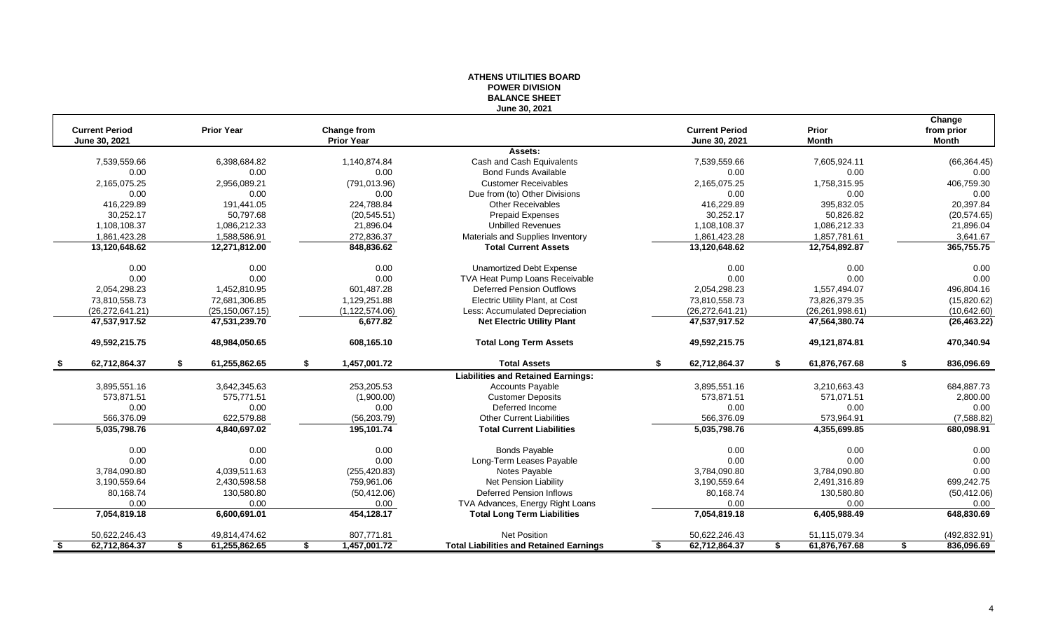|                                        |                     |                                         | ו טוטויוע וח אים א<br><b>BALANCE SHEET</b>     |                                        |                       |                                      |
|----------------------------------------|---------------------|-----------------------------------------|------------------------------------------------|----------------------------------------|-----------------------|--------------------------------------|
|                                        |                     |                                         | June 30, 2021                                  |                                        |                       |                                      |
| <b>Current Period</b><br>June 30, 2021 | <b>Prior Year</b>   | <b>Change from</b><br><b>Prior Year</b> |                                                | <b>Current Period</b><br>June 30, 2021 | Prior<br><b>Month</b> | Change<br>from prior<br><b>Month</b> |
|                                        |                     |                                         | Assets:                                        |                                        |                       |                                      |
| 7,539,559.66                           | 6,398,684.82        | 1,140,874.84                            | Cash and Cash Equivalents                      | 7,539,559.66                           | 7,605,924.11          | (66, 364.45)                         |
| 0.00                                   | 0.00                | 0.00                                    | <b>Bond Funds Available</b>                    | 0.00                                   | 0.00                  | 0.00                                 |
| 2,165,075.25                           | 2,956,089.21        | (791, 013.96)                           | <b>Customer Receivables</b>                    | 2,165,075.25                           | 1,758,315.95          | 406,759.30                           |
| 0.00                                   | 0.00                | 0.00                                    | Due from (to) Other Divisions                  | 0.00                                   | 0.00                  | 0.00                                 |
| 416.229.89                             | 191.441.05          | 224,788.84                              | <b>Other Receivables</b>                       | 416,229.89                             | 395,832.05            | 20,397.84                            |
| 30,252.17                              | 50,797.68           | (20, 545.51)                            | <b>Prepaid Expenses</b>                        | 30,252.17                              | 50,826.82             | (20, 574.65)                         |
| 1,108,108.37                           | 1,086,212.33        | 21,896.04                               | <b>Unbilled Revenues</b>                       | 1,108,108.37                           | 1,086,212.33          | 21,896.04                            |
| 1,861,423.28                           | 1,588,586.91        | 272,836.37                              | Materials and Supplies Inventory               | 1,861,423.28                           | 1,857,781.61          | 3,641.67                             |
| 13,120,648.62                          | 12,271,812.00       | 848,836.62                              | <b>Total Current Assets</b>                    | 13,120,648.62                          | 12,754,892.87         | 365,755.75                           |
| 0.00                                   | 0.00                | 0.00                                    | <b>Unamortized Debt Expense</b>                | 0.00                                   | 0.00                  | 0.00                                 |
| 0.00                                   | 0.00                | 0.00                                    | TVA Heat Pump Loans Receivable                 | 0.00                                   | 0.00                  | 0.00                                 |
| 2,054,298.23                           | 1,452,810.95        | 601,487.28                              | Deferred Pension Outflows                      | 2,054,298.23                           | 1,557,494.07          | 496,804.16                           |
| 73,810,558.73                          | 72,681,306.85       | 1,129,251.88                            | Electric Utility Plant, at Cost                | 73,810,558.73                          | 73,826,379.35         | (15,820.62)                          |
| (26, 272, 641.21)                      | (25, 150, 067.15)   | (1, 122, 574.06)                        | Less: Accumulated Depreciation                 | (26, 272, 641.21)                      | (26, 261, 998.61)     | (10,642.60)                          |
| 47,537,917.52                          | 47,531,239.70       | 6.677.82                                | <b>Net Electric Utility Plant</b>              | 47,537,917.52                          | 47,564,380.74         | (26, 463.22)                         |
| 49,592,215.75                          | 48,984,050.65       | 608,165.10                              | <b>Total Long Term Assets</b>                  | 49,592,215.75                          | 49,121,874.81         | 470,340.94                           |
| 62,712,864.37                          | 61,255,862.65<br>\$ | \$<br>1,457,001.72                      | <b>Total Assets</b>                            | \$<br>62,712,864.37                    | 61,876,767.68<br>S.   | \$<br>836,096.69                     |
|                                        |                     |                                         | <b>Liabilities and Retained Earnings:</b>      |                                        |                       |                                      |
| 3,895,551.16                           | 3,642,345.63        | 253,205.53                              | <b>Accounts Payable</b>                        | 3,895,551.16                           | 3,210,663.43          | 684,887.73                           |
| 573,871.51                             | 575,771.51          | (1,900.00)                              | <b>Customer Deposits</b>                       | 573,871.51                             | 571,071.51            | 2,800.00                             |
| 0.00                                   | 0.00                | 0.00                                    | Deferred Income                                | 0.00                                   | 0.00                  | 0.00                                 |
| 566,376.09                             | 622,579.88          | (56, 203.79)                            | <b>Other Current Liabilities</b>               | 566,376.09                             | 573,964.91            | (7,588.82)                           |
| 5,035,798.76                           | 4,840,697.02        | 195,101.74                              | <b>Total Current Liabilities</b>               | 5,035,798.76                           | 4,355,699.85          | 680,098.91                           |
| 0.00                                   | 0.00                | 0.00                                    | <b>Bonds Payable</b>                           | 0.00                                   | 0.00                  | 0.00                                 |
| 0.00                                   | 0.00                | 0.00                                    | Long-Term Leases Payable                       | 0.00                                   | 0.00                  | 0.00                                 |
| 3,784,090.80                           | 4,039,511.63        | (255, 420.83)                           | Notes Payable                                  | 3,784,090.80                           | 3,784,090.80          | 0.00                                 |
| 3,190,559.64                           | 2,430,598.58        | 759,961.06                              | Net Pension Liability                          | 3,190,559.64                           | 2,491,316.89          | 699,242.75                           |
| 80,168.74                              | 130,580.80          | (50, 412.06)                            | <b>Deferred Pension Inflows</b>                | 80,168.74                              | 130,580.80            | (50, 412.06)                         |
| 0.00                                   | 0.00                | 0.00                                    | TVA Advances, Energy Right Loans               | 0.00                                   | 0.00                  | 0.00                                 |
| 7,054,819.18                           | 6,600,691.01        | 454,128.17                              | <b>Total Long Term Liabilities</b>             | 7,054,819.18                           | 6,405,988.49          | 648,830.69                           |
| 50,622,246.43                          | 49,814,474.62       | 807,771.81                              | <b>Net Position</b>                            | 50,622,246.43                          | 51,115,079.34         | (492, 832.91)                        |
| 62,712,864.37<br>-\$                   | 61,255,862.65<br>S. | 1,457,001.72<br>\$                      | <b>Total Liabilities and Retained Earnings</b> | 62,712,864.37<br>\$                    | 61,876,767.68<br>\$   | 836,096.69<br>\$                     |
|                                        |                     |                                         |                                                |                                        |                       |                                      |

# **ATHENS UTILITIES BOARD POWER DIVISION**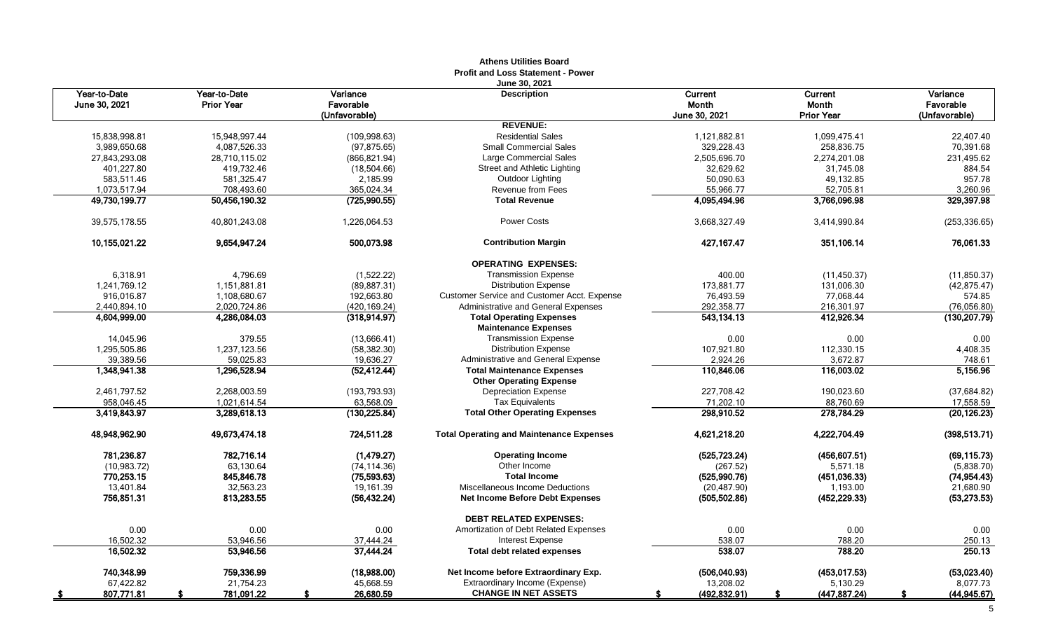|                               |                                   |                                        | <b>Athens Utilities Board</b><br><b>Profit and Loss Statement - Power</b> |                                   |                                              |                                        |
|-------------------------------|-----------------------------------|----------------------------------------|---------------------------------------------------------------------------|-----------------------------------|----------------------------------------------|----------------------------------------|
| Year-to-Date<br>June 30, 2021 | Year-to-Date<br><b>Prior Year</b> | Variance<br>Favorable<br>(Unfavorable) | June 30, 2021<br><b>Description</b>                                       | Current<br>Month<br>June 30, 2021 | Current<br><b>Month</b><br><b>Prior Year</b> | Variance<br>Favorable<br>(Unfavorable) |
|                               |                                   |                                        | <b>REVENUE:</b>                                                           |                                   |                                              |                                        |
| 15.838.998.81                 | 15.948.997.44                     | (109.998.63)                           | <b>Residential Sales</b>                                                  | 1,121,882.81                      | 1.099.475.41                                 | 22.407.40                              |
| 3,989,650.68                  | 4,087,526.33                      | (97, 875.65)                           | <b>Small Commercial Sales</b>                                             | 329,228.43                        | 258,836.75                                   | 70,391.68                              |
| 27,843,293.08                 | 28,710,115.02                     | (866, 821.94)                          | Large Commercial Sales                                                    | 2,505,696.70                      | 2,274,201.08                                 | 231,495.62                             |
| 401,227.80                    | 419,732.46                        | (18,504.66)                            | Street and Athletic Lighting                                              | 32,629.62                         | 31,745.08                                    | 884.54                                 |
| 583,511.46                    | 581,325.47                        | 2,185.99                               | Outdoor Lighting                                                          | 50,090.63                         | 49,132.85                                    | 957.78                                 |
| 1,073,517.94                  | 708,493.60                        | 365,024.34                             | <b>Revenue from Fees</b>                                                  | 55,966.77                         | 52,705.81                                    | 3,260.96                               |
| 49,730,199.77                 | 50,456,190.32                     | (725, 990.55)                          | <b>Total Revenue</b>                                                      | 4,095,494.96                      | 3,766,096.98                                 | 329,397.98                             |
| 39,575,178.55                 | 40,801,243.08                     | 1,226,064.53                           | Power Costs                                                               | 3,668,327.49                      | 3,414,990.84                                 | (253, 336.65)                          |
| 10,155,021.22                 | 9,654,947.24                      | 500,073.98                             | <b>Contribution Margin</b>                                                | 427, 167. 47                      | 351,106.14                                   | 76,061.33                              |
|                               |                                   |                                        | <b>OPERATING EXPENSES:</b>                                                |                                   |                                              |                                        |
| 6,318.91                      | 4,796.69                          | (1,522.22)                             | <b>Transmission Expense</b>                                               | 400.00                            | (11, 450.37)                                 | (11, 850.37)                           |
| 1,241,769.12                  | 1,151,881.81                      | (89, 887.31)                           | <b>Distribution Expense</b>                                               | 173,881.77                        | 131,006.30                                   | (42, 875.47)                           |
| 916.016.87                    | 1.108.680.67                      | 192.663.80                             | <b>Customer Service and Customer Acct. Expense</b>                        | 76.493.59                         | 77.068.44                                    | 574.85                                 |
| 2,440,894.10                  | 2,020,724.86                      | (420, 169.24)                          | Administrative and General Expenses                                       | 292,358.77                        | 216,301.97                                   | (76,056.80)                            |
| 4,604,999.00                  | 4,286,084.03                      | (318, 914.97)                          | <b>Total Operating Expenses</b>                                           | 543,134.13                        | 412,926.34                                   | (130, 207.79)                          |
|                               |                                   |                                        | <b>Maintenance Expenses</b>                                               |                                   |                                              |                                        |
| 14,045.96                     | 379.55                            | (13,666.41)                            | <b>Transmission Expense</b>                                               | 0.00                              | 0.00                                         | 0.00                                   |
| 1,295,505.86                  | 1,237,123.56                      | (58, 382.30)                           | <b>Distribution Expense</b>                                               | 107,921.80                        | 112,330.15                                   | 4,408.35                               |
| 39,389.56                     | 59,025.83                         | 19,636.27                              | Administrative and General Expense                                        | 2,924.26                          | 3,672.87                                     | 748.61                                 |
| 1,348,941.38                  | 1,296,528.94                      | (52, 412.44)                           | <b>Total Maintenance Expenses</b>                                         | 110,846.06                        | 116,003.02                                   | 5,156.96                               |
|                               |                                   |                                        | <b>Other Operating Expense</b>                                            |                                   |                                              |                                        |
| 2,461,797.52                  | 2.268.003.59                      | (193, 793.93)                          | <b>Depreciation Expense</b>                                               | 227,708.42                        | 190,023.60                                   | (37, 684.82)                           |
| 958,046.45                    | 1,021,614.54                      | 63,568.09                              | <b>Tax Equivalents</b>                                                    | 71,202.10                         | 88,760.69                                    | 17,558.59                              |
| 3,419,843.97                  | 3,289,618.13                      | (130, 225.84)                          | <b>Total Other Operating Expenses</b>                                     | 298,910.52                        | 278,784.29                                   | (20, 126.23)                           |
| 48,948,962.90                 | 49,673,474.18                     | 724,511.28                             | <b>Total Operating and Maintenance Expenses</b>                           | 4,621,218.20                      | 4,222,704.49                                 | (398, 513.71)                          |
| 781.236.87                    | 782,716.14                        | (1,479.27)                             | <b>Operating Income</b>                                                   | (525, 723.24)                     | (456, 607.51)                                | (69, 115.73)                           |
| (10,983.72)                   | 63,130.64                         | (74, 114.36)                           | Other Income                                                              | (267.52)                          | 5,571.18                                     | (5,838.70)                             |
| 770,253.15                    | 845,846.78                        | (75, 593.63)                           | <b>Total Income</b>                                                       | (525,990.76)                      | (451, 036.33)                                | (74, 954.43)                           |
| 13,401.84                     | 32,563.23                         | 19.161.39                              | Miscellaneous Income Deductions                                           | (20, 487.90)                      | 1,193.00                                     | 21,680.90                              |
| 756,851.31                    | 813,283.55                        | (56, 432.24)                           | Net Income Before Debt Expenses                                           | (505, 502.86)                     | (452, 229.33)                                | (53, 273.53)                           |
|                               |                                   |                                        | <b>DEBT RELATED EXPENSES:</b>                                             |                                   |                                              |                                        |
| 0.00                          | 0.00                              | 0.00                                   | Amortization of Debt Related Expenses                                     | 0.00                              | 0.00                                         | 0.00                                   |
| 16,502.32                     | 53,946.56                         | 37,444.24                              | Interest Expense                                                          | 538.07                            | 788.20                                       | 250.13                                 |
| 16,502.32                     | 53,946.56                         | 37,444.24                              | <b>Total debt related expenses</b>                                        | 538.07                            | 788.20                                       | 250.13                                 |
| 740,348.99                    | 759,336.99                        | (18,988.00)                            | Net Income before Extraordinary Exp.                                      | (506, 040.93)                     | (453, 017.53)                                | (53,023.40)                            |
| 67,422.82                     | 21,754.23                         | 45,668.59                              | Extraordinary Income (Expense)                                            | 13,208.02                         | 5,130.29                                     | 8,077.73                               |
| 807,771.81                    | 781,091.22<br>-S.                 | 26,680.59<br>\$                        | <b>CHANGE IN NET ASSETS</b>                                               | (492, 832.91)<br>s.               | (447, 887.24)<br>S                           | (44, 945.67)<br>s.                     |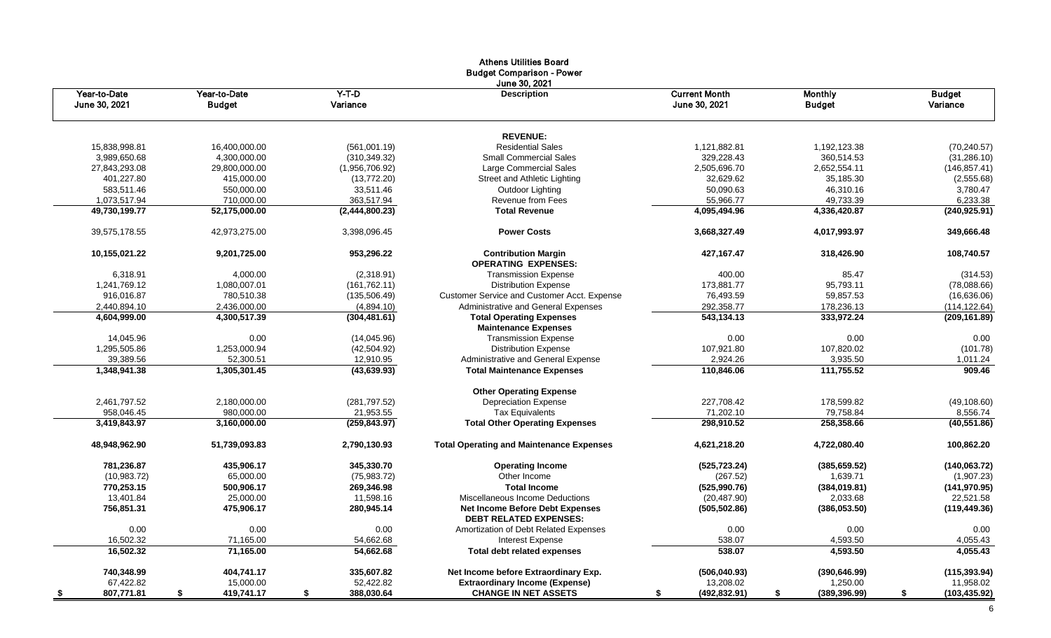|                               |                               |                     | <b>Athens Utilities Board</b><br><b>Budget Comparison - Power</b>       |                                       |                                 |                           |
|-------------------------------|-------------------------------|---------------------|-------------------------------------------------------------------------|---------------------------------------|---------------------------------|---------------------------|
| Year-to-Date<br>June 30, 2021 | Year-to-Date<br><b>Budget</b> | $Y-T-D$<br>Variance | June 30, 2021<br><b>Description</b>                                     | <b>Current Month</b><br>June 30, 2021 | <b>Monthly</b><br><b>Budget</b> | <b>Budget</b><br>Variance |
|                               |                               |                     | <b>REVENUE:</b>                                                         |                                       |                                 |                           |
| 15,838,998.81                 | 16,400,000.00                 | (561,001.19)        | <b>Residential Sales</b>                                                | 1,121,882.81                          | 1,192,123.38                    | (70, 240.57)              |
| 3,989,650.68                  | 4,300,000.00                  | (310, 349.32)       | <b>Small Commercial Sales</b>                                           | 329,228.43                            | 360,514.53                      | (31, 286.10)              |
| 27,843,293.08                 | 29,800,000.00                 | (1,956,706.92)      | Large Commercial Sales                                                  | 2,505,696.70                          | 2,652,554.11                    | (146, 857.41)             |
| 401,227.80                    | 415,000.00                    | (13,772.20)         | Street and Athletic Lighting                                            | 32,629.62                             | 35,185.30                       | (2,555.68)                |
| 583,511.46                    | 550,000.00                    | 33,511.46           | Outdoor Lighting                                                        | 50,090.63                             | 46,310.16                       | 3,780.47                  |
| 1,073,517.94                  | 710,000.00                    | 363,517.94          | <b>Revenue from Fees</b>                                                | 55,966.77                             | 49,733.39                       | 6,233.38                  |
| 49,730,199.77                 | 52,175,000.00                 | (2,444,800.23)      | <b>Total Revenue</b>                                                    | 4,095,494.96                          | 4,336,420.87                    | (240, 925.91)             |
| 39,575,178.55                 | 42,973,275.00                 | 3,398,096.45        | <b>Power Costs</b>                                                      | 3,668,327.49                          | 4,017,993.97                    | 349,666.48                |
| 10,155,021.22                 | 9,201,725.00                  | 953,296.22          | <b>Contribution Margin</b><br><b>OPERATING EXPENSES:</b>                | 427, 167. 47                          | 318,426.90                      | 108,740.57                |
| 6,318.91                      | 4,000.00                      | (2,318.91)          | <b>Transmission Expense</b>                                             | 400.00                                | 85.47                           | (314.53)                  |
| 1,241,769.12                  | 1,080,007.01                  | (161, 762.11)       | <b>Distribution Expense</b>                                             | 173,881.77                            | 95,793.11                       | (78,088.66)               |
| 916.016.87                    | 780.510.38                    | (135, 506.49)       | <b>Customer Service and Customer Acct. Expense</b>                      | 76,493.59                             | 59,857.53                       | (16,636.06)               |
| 2,440,894.10                  | 2,436,000.00                  | (4,894.10)          | Administrative and General Expenses                                     | 292,358.77                            | 178,236.13                      | (114, 122.64)             |
| 4,604,999.00                  | 4,300,517.39                  | (304, 481.61)       | <b>Total Operating Expenses</b>                                         | 543,134.13                            | 333,972.24                      | (209, 161.89)             |
|                               |                               |                     | <b>Maintenance Expenses</b>                                             |                                       |                                 |                           |
| 14,045.96                     | 0.00                          | (14,045.96)         | <b>Transmission Expense</b>                                             | 0.00                                  | 0.00                            | 0.00                      |
| 1,295,505.86                  | 1,253,000.94                  | (42, 504.92)        | <b>Distribution Expense</b>                                             | 107,921.80                            | 107,820.02                      | (101.78)                  |
| 39,389.56                     | 52,300.51                     | 12,910.95           | Administrative and General Expense                                      | 2,924.26                              | 3,935.50                        | 1,011.24                  |
| 1,348,941.38                  | 1,305,301.45                  | (43, 639.93)        | <b>Total Maintenance Expenses</b>                                       | 110,846.06                            | 111,755.52                      | 909.46                    |
|                               |                               |                     | <b>Other Operating Expense</b>                                          |                                       |                                 |                           |
| 2,461,797.52                  | 2,180,000.00                  | (281, 797.52)       | <b>Depreciation Expense</b>                                             | 227,708.42                            | 178,599.82                      | (49, 108.60)              |
| 958,046.45                    | 980,000.00                    | 21,953.55           | <b>Tax Equivalents</b>                                                  | 71,202.10                             | 79,758.84                       | 8,556.74                  |
| 3,419,843.97                  | 3,160,000.00                  | (259, 843.97)       | <b>Total Other Operating Expenses</b>                                   | 298,910.52                            | 258,358.66                      | (40, 551.86)              |
| 48,948,962.90                 | 51,739,093.83                 | 2,790,130.93        | <b>Total Operating and Maintenance Expenses</b>                         | 4,621,218.20                          | 4,722,080.40                    | 100,862.20                |
| 781,236.87                    | 435,906.17                    | 345,330.70          | <b>Operating Income</b>                                                 | (525, 723.24)                         | (385, 659.52)                   | (140, 063.72)             |
| (10,983.72)                   | 65.000.00                     | (75,983.72)         | Other Income                                                            | (267.52)                              | 1.639.71                        | (1,907.23)                |
| 770,253.15                    | 500,906.17                    | 269,346.98          | <b>Total Income</b>                                                     | (525, 990.76)                         | (384, 019.81)                   | (141, 970.95)             |
| 13,401.84                     | 25,000.00                     | 11,598.16           | Miscellaneous Income Deductions                                         | (20, 487.90)                          | 2,033.68                        | 22,521.58                 |
| 756,851.31                    | 475,906.17                    | 280,945.14          | <b>Net Income Before Debt Expenses</b><br><b>DEBT RELATED EXPENSES:</b> | (505, 502.86)                         | (386,053.50)                    | (119, 449.36)             |
| 0.00                          | 0.00                          | 0.00                | Amortization of Debt Related Expenses                                   | 0.00                                  | 0.00                            | 0.00                      |
| 16,502.32                     | 71.165.00                     | 54,662.68           | <b>Interest Expense</b>                                                 | 538.07                                | 4,593.50                        | 4,055.43                  |
| 16,502.32                     | 71,165.00                     | 54,662.68           | <b>Total debt related expenses</b>                                      | 538.07                                | 4,593.50                        | 4,055.43                  |
| 740,348.99                    | 404,741.17                    | 335.607.82          | Net Income before Extraordinary Exp.                                    | (506, 040.93)                         | (390, 646.99)                   | (115, 393.94)             |
| 67,422.82                     | 15,000.00                     | 52,422.82           | <b>Extraordinary Income (Expense)</b>                                   | 13,208.02                             | 1,250.00                        | 11,958.02                 |
| 807,771.81<br>- \$            | \$<br>419,741.17              | \$<br>388,030.64    | <b>CHANGE IN NET ASSETS</b>                                             | (492, 832.91)<br>\$                   | \$<br>(389, 396.99)             | \$<br>(103, 435.92)       |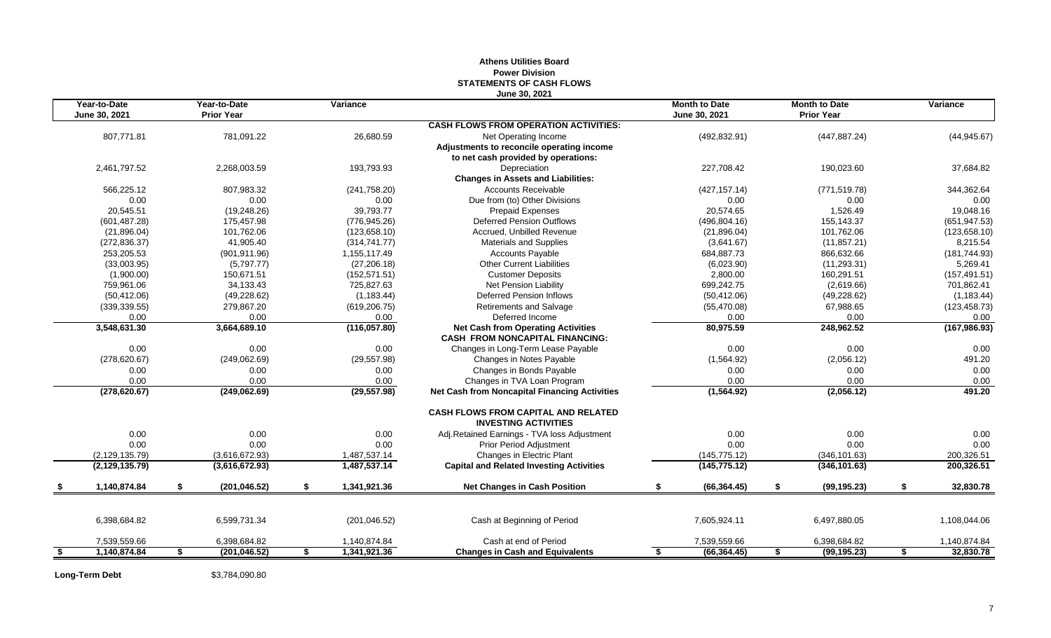|                               |                                   |                    | June 30, 2021                                                             |                                       |                                           |                 |
|-------------------------------|-----------------------------------|--------------------|---------------------------------------------------------------------------|---------------------------------------|-------------------------------------------|-----------------|
| Year-to-Date<br>June 30, 2021 | Year-to-Date<br><b>Prior Year</b> | Variance           |                                                                           | <b>Month to Date</b><br>June 30, 2021 | <b>Month to Date</b><br><b>Prior Year</b> | Variance        |
|                               |                                   |                    | <b>CASH FLOWS FROM OPERATION ACTIVITIES:</b>                              |                                       |                                           |                 |
| 807,771.81                    | 781,091.22                        | 26,680.59          | Net Operating Income                                                      | (492, 832.91)                         | (447, 887.24)                             | (44, 945.67)    |
|                               |                                   |                    | Adjustments to reconcile operating income                                 |                                       |                                           |                 |
|                               |                                   |                    | to net cash provided by operations:                                       |                                       |                                           |                 |
| 2,461,797.52                  | 2,268,003.59                      | 193,793.93         | Depreciation                                                              | 227,708.42                            | 190,023.60                                | 37,684.82       |
|                               |                                   |                    | <b>Changes in Assets and Liabilities:</b>                                 |                                       |                                           |                 |
| 566,225.12                    | 807,983.32                        | (241,758.20)       | <b>Accounts Receivable</b>                                                | (427, 157.14)                         | (771, 519.78)                             | 344,362.64      |
| 0.00                          | 0.00                              | 0.00               | Due from (to) Other Divisions                                             | 0.00                                  | 0.00                                      | 0.00            |
| 20,545.51                     | (19, 248.26)                      | 39,793.77          | <b>Prepaid Expenses</b>                                                   | 20,574.65                             | 1,526.49                                  | 19,048.16       |
| (601, 487.28)                 | 175,457.98                        | (776, 945.26)      | <b>Deferred Pension Outflows</b>                                          | (496, 804.16)                         | 155,143.37                                | (651, 947.53)   |
| (21, 896.04)                  | 101,762.06                        | (123, 658.10)      | Accrued. Unbilled Revenue                                                 | (21, 896.04)                          | 101,762.06                                | (123, 658.10)   |
| (272, 836.37)                 | 41,905.40                         | (314, 741.77)      | Materials and Supplies                                                    | (3,641.67)                            | (11, 857.21)                              | 8,215.54        |
| 253,205.53                    | (901, 911.96)                     | 1,155,117.49       | <b>Accounts Payable</b>                                                   | 684,887.73                            | 866,632.66                                | (181, 744.93)   |
| (33,003.95)                   | (5,797.77)                        | (27, 206.18)       | <b>Other Current Liabilities</b>                                          | (6,023.90)                            | (11, 293.31)                              | 5,269.41        |
| (1,900.00)                    | 150,671.51                        | (152, 571.51)      | <b>Customer Deposits</b>                                                  | 2,800.00                              | 160,291.51                                | (157, 491.51)   |
| 759,961.06                    | 34,133.43                         | 725,827.63         | Net Pension Liability                                                     | 699,242.75                            | (2,619.66)                                | 701,862.41      |
| (50, 412.06)                  | (49, 228.62)                      | (1, 183.44)        | <b>Deferred Pension Inflows</b>                                           | (50, 412.06)                          | (49, 228.62)                              | (1, 183.44)     |
| (339, 339.55)                 | 279,867.20                        | (619, 206.75)      | Retirements and Salvage                                                   | (55, 470.08)                          | 67,988.65                                 | (123, 458.73)   |
| 0.00                          | 0.00                              | 0.00               | Deferred Income                                                           | 0.00                                  | 0.00                                      | 0.00            |
| 3,548,631.30                  | 3,664,689.10                      | (116, 057.80)      | <b>Net Cash from Operating Activities</b>                                 | 80,975.59                             | 248,962.52                                | (167, 986.93)   |
|                               |                                   |                    | <b>CASH FROM NONCAPITAL FINANCING:</b>                                    |                                       |                                           |                 |
| 0.00                          | 0.00                              | 0.00               | Changes in Long-Term Lease Payable                                        | 0.00                                  | 0.00                                      | 0.00            |
| (278, 620.67)                 | (249,062.69)                      | (29.557.98)        | Changes in Notes Payable                                                  | (1,564.92)                            | (2,056.12)                                | 491.20          |
| 0.00                          | 0.00                              | 0.00               | Changes in Bonds Payable                                                  | 0.00                                  | 0.00                                      | 0.00            |
| 0.00                          | 0.00                              | 0.00               | Changes in TVA Loan Program                                               | 0.00                                  | 0.00                                      | 0.00            |
| (278, 620.67)                 | (249,062.69)                      | (29, 557.98)       | <b>Net Cash from Noncapital Financing Activities</b>                      | (1,564.92)                            | (2,056.12)                                | 491.20          |
|                               |                                   |                    | <b>CASH FLOWS FROM CAPITAL AND RELATED</b><br><b>INVESTING ACTIVITIES</b> |                                       |                                           |                 |
| 0.00                          | 0.00                              | 0.00               | Adj.Retained Earnings - TVA loss Adjustment                               | 0.00                                  | 0.00                                      | 0.00            |
| 0.00                          | 0.00                              | 0.00               | <b>Prior Period Adjustment</b>                                            | 0.00                                  | 0.00                                      | 0.00            |
| (2, 129, 135.79)              | (3,616,672.93)                    | 1,487,537.14       | Changes in Electric Plant                                                 | (145, 775.12)                         | (346, 101.63)                             | 200,326.51      |
| (2, 129, 135.79)              | (3,616,672.93)                    | 1,487,537.14       | <b>Capital and Related Investing Activities</b>                           | (145, 775.12)                         | (346, 101.63)                             | 200,326.51      |
| \$<br>1,140,874.84            | \$<br>(201, 046.52)               | \$<br>1,341,921.36 | <b>Net Changes in Cash Position</b>                                       | \$<br>(66, 364.45)                    | \$<br>(99, 195.23)                        | \$<br>32,830.78 |
|                               |                                   |                    |                                                                           |                                       |                                           |                 |
| 6,398,684.82                  | 6,599,731.34                      | (201, 046.52)      | Cash at Beginning of Period                                               | 7,605,924.11                          | 6,497,880.05                              | 1,108,044.06    |
| 7,539,559.66                  | 6,398,684.82                      | 1,140,874.84       | Cash at end of Period                                                     | 7,539,559.66                          | 6,398,684.82                              | 1,140,874.84    |
| \$<br>1,140,874.84            | \$<br>(201, 046.52)               | \$<br>1,341,921.36 | <b>Changes in Cash and Equivalents</b>                                    | \$<br>(66, 364.45)                    | \$<br>(99, 195.23)                        | \$<br>32,830.78 |
|                               |                                   |                    |                                                                           |                                       |                                           |                 |

# **Athens Utilities Board Power Division STATEMENTS OF CASH FLOWS**

**Long-Term Debt** \$3,784,090.80

7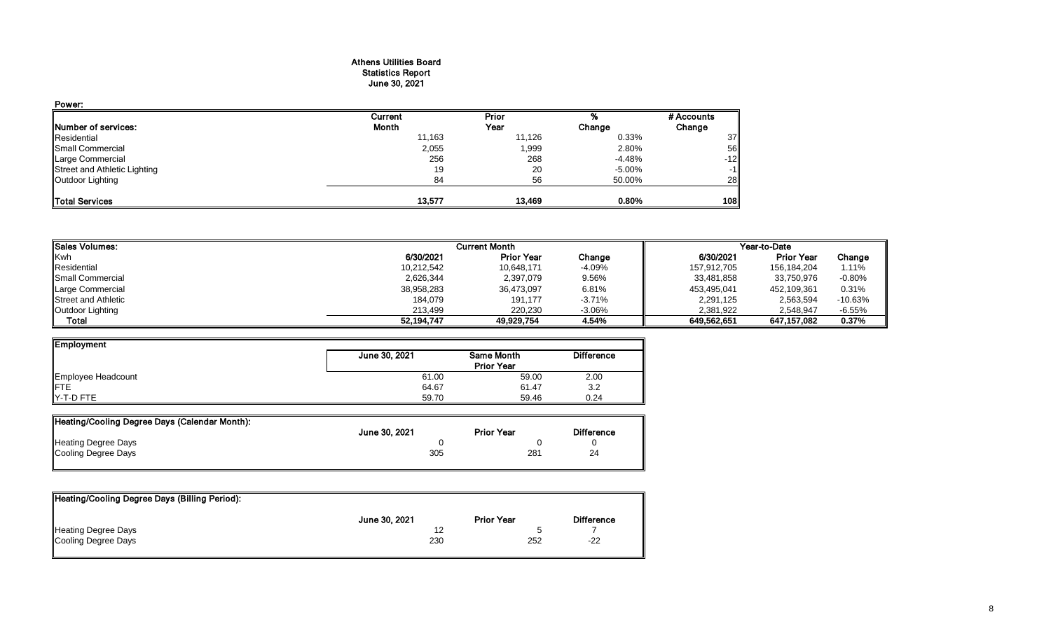## Athens Utilities Board Statistics Report June 30, 2021

| Power:                       |         |        |        |            |
|------------------------------|---------|--------|--------|------------|
|                              | Current | Prior  |        | # Accounts |
| Number of services:          | Month   | Year   | Change | Change     |
| Residential                  | 11,163  | 11,126 | 0.33%  | 37         |
| Small Commercial             | 2,055   | 1,999  | 2.80%  | 56         |
| Large Commercial             | 256     | 268    | -4.48% | $-12$      |
| Street and Athletic Lighting | 19      | 20     | -5.00% | $-1$       |
| Outdoor Lighting             | 84      | 56     | 50.00% | 28         |
| <b>Total Services</b>        | 13,577  | 13,469 | 0.80%  | 108        |

| <b>I</b> ISales Volumes:   |            | <b>Current Month</b> |          | Year-to-Date |                   |           |  |
|----------------------------|------------|----------------------|----------|--------------|-------------------|-----------|--|
| <b>Kwh</b>                 | 6/30/2021  | <b>Prior Year</b>    | Change   | 6/30/2021    | <b>Prior Year</b> | Change    |  |
| Residential                | 10,212,542 | 10.648.171           | -4.09%   | 157,912,705  | 156,184,204       | 1.11%     |  |
| <b>I</b> Small Commercial  | 2,626,344  | 2,397,079            | 9.56%    | 33,481,858   | 33,750,976        | $-0.80\%$ |  |
| Large Commercial           | 38,958,283 | 36,473,097           | 6.81%    | 453,495,041  | 452,109,361       | 0.31%     |  |
| <b>Street and Athletic</b> | 184,079    | 191.177              | $-3.71%$ | 2,291,125    | 2,563,594         | $-10.63%$ |  |
| Outdoor Lighting           | 213.499    | 220,230              | $-3.06%$ | 2,381,922    | 2.548.947         | $-6.55%$  |  |
| Total                      | 52,194,747 | 49.929.754           | 4.54%    | 649.562.651  | 647.157.082       | 0.37%     |  |

| Employment         |               |                   |                   |
|--------------------|---------------|-------------------|-------------------|
|                    | June 30, 2021 | Same Month        | <b>Difference</b> |
|                    |               | <b>Prior Year</b> |                   |
| Employee Headcount | 61.00         | 59.00             | 2.00              |
| <b>IFTE</b>        | 64.67         | 61.47             | 3.2               |
| Y-T-D FTE          | 59.70         | 59.46             | 0.24              |

| Heating/Cooling Degree Days (Calendar Month): |               |                   |                   |
|-----------------------------------------------|---------------|-------------------|-------------------|
|                                               | June 30, 2021 | <b>Prior Year</b> | <b>Difference</b> |
| <b>Heating Degree Days</b>                    |               |                   |                   |
| Cooling Degree Days                           | 305           | 281               | 24                |
|                                               |               |                   |                   |

| Heating/Cooling Degree Days (Billing Period): |               |                   |                   |
|-----------------------------------------------|---------------|-------------------|-------------------|
|                                               | June 30, 2021 | <b>Prior Year</b> | <b>Difference</b> |
| Heating Degree Days                           |               |                   |                   |
| Cooling Degree Days                           | 230           | 252               | $-22$             |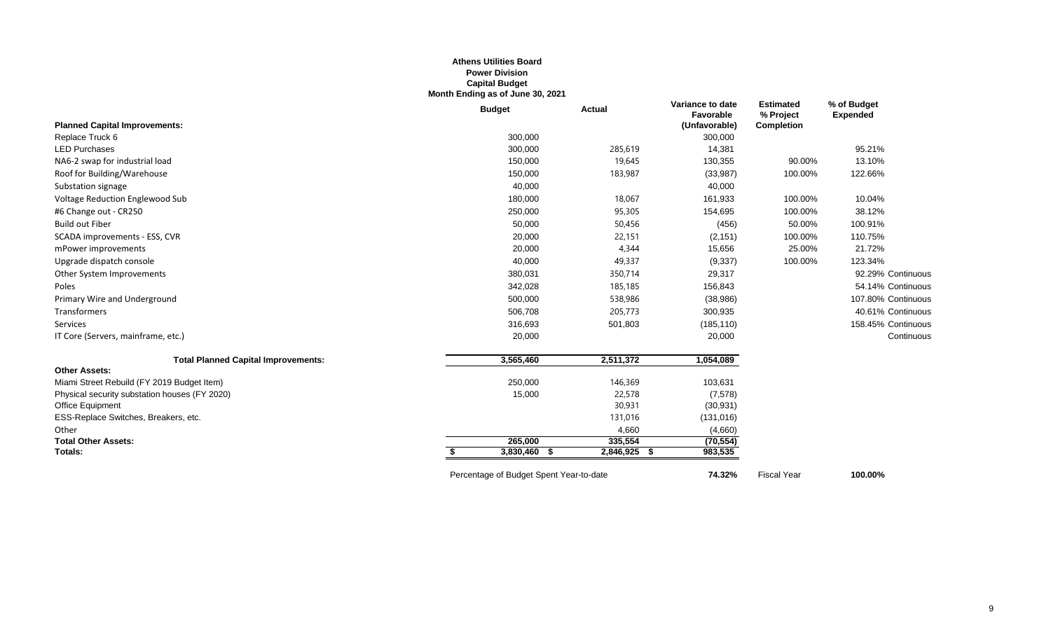### **Athens Utilities Board Power Division Capital Budget Month Ending as of June 30, 2021**

|                                               | <b>Budget</b> | <b>Actual</b> | Variance to date<br>Favorable | <b>Estimated</b><br>% Project | % of Budget<br><b>Expended</b> |
|-----------------------------------------------|---------------|---------------|-------------------------------|-------------------------------|--------------------------------|
| <b>Planned Capital Improvements:</b>          |               |               | (Unfavorable)                 | <b>Completion</b>             |                                |
| Replace Truck 6                               | 300,000       |               | 300,000                       |                               |                                |
| <b>LED Purchases</b>                          | 300,000       | 285,619       | 14,381                        |                               | 95.21%                         |
| NA6-2 swap for industrial load                | 150,000       | 19,645        | 130,355                       | 90.00%                        | 13.10%                         |
| Roof for Building/Warehouse                   | 150,000       | 183,987       | (33, 987)                     | 100.00%                       | 122.66%                        |
| Substation signage                            | 40,000        |               | 40,000                        |                               |                                |
| Voltage Reduction Englewood Sub               | 180,000       | 18,067        | 161,933                       | 100.00%                       | 10.04%                         |
| #6 Change out - CR250                         | 250,000       | 95,305        | 154,695                       | 100.00%                       | 38.12%                         |
| <b>Build out Fiber</b>                        | 50,000        | 50,456        | (456)                         | 50.00%                        | 100.91%                        |
| SCADA improvements - ESS, CVR                 | 20,000        | 22,151        | (2, 151)                      | 100.00%                       | 110.75%                        |
| mPower improvements                           | 20,000        | 4,344         | 15,656                        | 25.00%                        | 21.72%                         |
| Upgrade dispatch console                      | 40,000        | 49,337        | (9, 337)                      | 100.00%                       | 123.34%                        |
| Other System Improvements                     | 380,031       | 350,714       | 29,317                        |                               | 92.29% Continuous              |
| Poles                                         | 342,028       | 185,185       | 156,843                       |                               | 54.14% Continuous              |
| Primary Wire and Underground                  | 500,000       | 538,986       | (38, 986)                     |                               | 107.80% Continuous             |
| Transformers                                  | 506,708       | 205,773       | 300,935                       |                               | 40.61% Continuous              |
| Services                                      | 316,693       | 501,803       | (185, 110)                    |                               | 158.45% Continuous             |
| IT Core (Servers, mainframe, etc.)            | 20,000        |               | 20,000                        |                               | Continuous                     |
| <b>Total Planned Capital Improvements:</b>    | 3,565,460     | 2,511,372     | 1,054,089                     |                               |                                |
| <b>Other Assets:</b>                          |               |               |                               |                               |                                |
| Miami Street Rebuild (FY 2019 Budget Item)    | 250,000       | 146,369       | 103,631                       |                               |                                |
| Physical security substation houses (FY 2020) | 15,000        | 22,578        | (7,578)                       |                               |                                |
| <b>Office Equipment</b>                       |               | 30,931        | (30, 931)                     |                               |                                |
| ESS-Replace Switches, Breakers, etc.          |               | 131,016       | (131, 016)                    |                               |                                |
| Other                                         |               | 4,660         | (4,660)                       |                               |                                |
| <b>Total Other Assets:</b>                    | 265,000       | 335,554       | (70, 554)                     |                               |                                |
| Totals:                                       | 3,830,460 \$  | 2,846,925 \$  | 983,535                       |                               |                                |

Percentage of Budget Spent Year-to-date **74.32%** Fiscal Year **100.00%**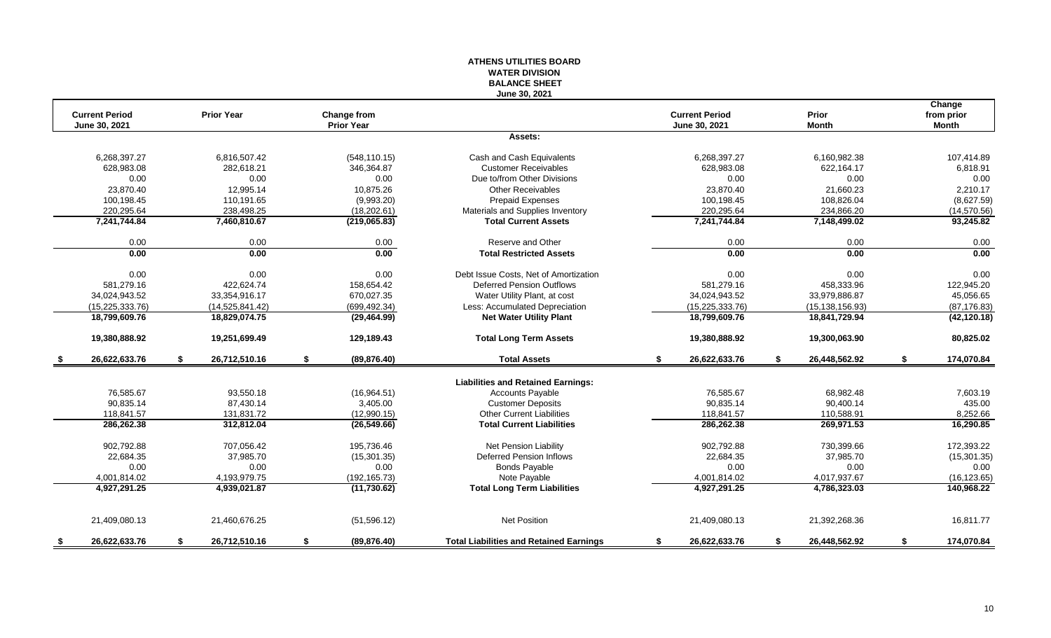# **WATER DIVISION BALANCE SHEET June 30, 2021 Change Current Period Prior Year Change from Current Period Prior from prior June 30, 2021 Prior Year June 30, 2021 Month Month Assets:** 6,268,397.27 6,816,507.42 (548,110.15) Cash and Cash Equivalents 6,268,397.27 6,160,982.38 107,414.89 628,983.08 282,618.21 346,364.87 Customer Receivables 628,983.08 622,164.17 6,818.91 0.00 0.00 0.00 Due to/from Other Divisions 0.00 0.00 0.00 23,870.40 12,995.14 10,875.26 Other Receivables 23,870.40 21,660.23 2,210.17 100,198.45 110,191.65 (9,993.20) Prepaid Expenses 100,198.45 108,826.04 (8,627.59) 220,295.64 238,498.25 (18,202.61) Materials and Supplies Inventory 220,295.64 234,866.20 (14,570.56)<br>201,744.84 7,460,810.67 (219,065.83) Total Current Assets 7,241,744.84 7,148,499.02 93,245.82 **7,241,744.84 7,460,810.67 (219,065.83) Total Current Assets 7,241,744.84 7,148,499.02 93,245.82** 0.00 0.00 0.00 Reserve and Other 0.00 0.00 0.00 **0.00 0.00 0.00 Total Restricted Assets 0.00 0.00 0.00** 0.00 0.00 0.00 0.00 0.00 Debt Issue Costs. Net of Amortization 0.00 0.00 0.00 0.00 0.00 0.00 0.00 581,279.16 422,624.74 158,654.42 Deferred Pension Outflows 581,279.16 458,333.96 122,945.20 34,024,943.52 33,354,916.17 670,027.35 Water Utility Plant, at cost 34,024,943.52 33,979,886.87 45,056.65 (15,225,333.76) (14,525,841.42) (699,492.34) Less: Accumulated Depreciation (15,225,333.76) (15,138,156.93) (87,176.83) **18,799,609.76 18,829,074.75 (29,464.99) Net Water Utility Plant 18,799,609.76 18,841,729.94 (42,120.18) 19,380,888.92 19,251,699.49 129,189.43 Total Long Term Assets 19,380,888.92 19,300,063.90 80,825.02 \$ 26,622,633.76 \$ 26,712,510.16 \$ (89,876.40) Total Assets \$ 26,622,633.76 \$ 26,448,562.92 \$ 174,070.84 Liabilities and Retained Earnings:** 76,585.67 93,550.18 (16,964.51) Cccounts Payable 76,585.67 68,982.48 7,603.19 90,835.14 87,430.14 3,405.00 Customer Deposits 90,835.14 90,400.14 435.00 118,841.57 131,831.72 (12,990.15) Other Current Liabilities 118,841.57 110,588.91 8,252.66 **286,262.38 312,812.04 (26,549.66) Total Current Liabilities 286,262.38 269,971.53 16,290.85** 902,792.88 707,056.42 195,736.46 Net Pension Liability 902,792.88 730,399.66 172,393.22 22,684.35 37,985.70 (15,301.35) Deferred Pension Inflows 22,684.35 37,985.70 (15,301.35) 0.00 0.00 0.00 Bonds Payable 0.00 0.00 0.00 4,001,814.02 4,193,979.75 (192,165.73) Note Payable 4,001,814.02 4,017,937.67 (16,123.65) **4,927,291.25 4,939,021.87 (11,730.62) Total Long Term Liabilities 4,927,291.25 4,786,323.03 140,968.22** 21,409,080.13 21,460,676.25 (51,596.12) Net Position 21,409,080.13 21,392,268.36 16,811.77 **\$ 26,622,633.76 \$ 26,712,510.16 \$ (89,876.40) Total Liabilities and Retained Earnings \$ 26,622,633.76 \$ 26,448,562.92 \$ 174,070.84**

**ATHENS UTILITIES BOARD**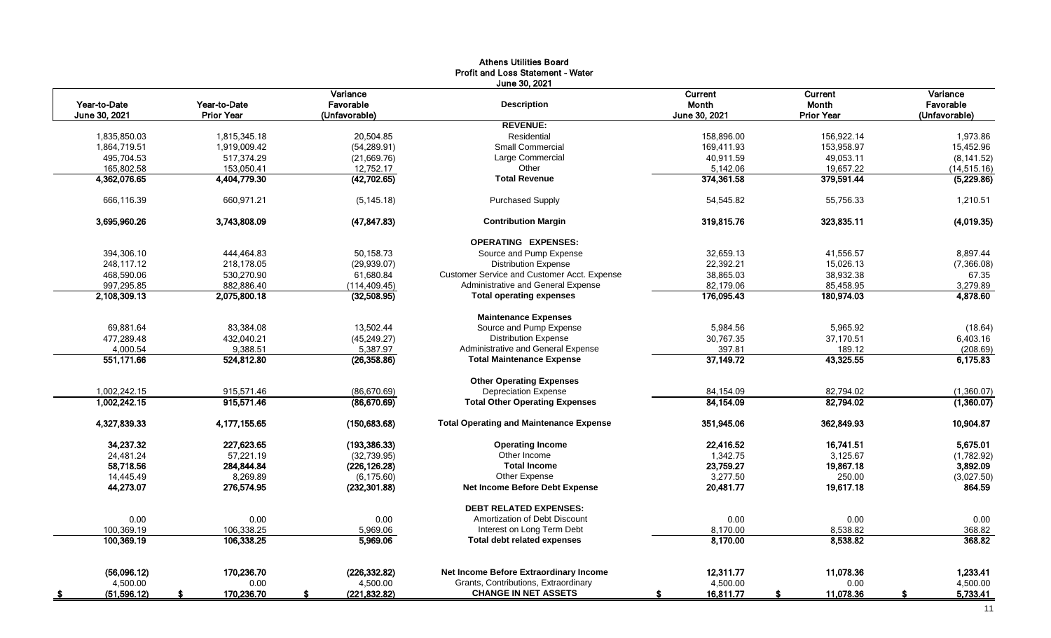|                            |                   |                     | <b>Profit and Loss Statement - Water</b>       |                 |                   |                |
|----------------------------|-------------------|---------------------|------------------------------------------------|-----------------|-------------------|----------------|
|                            |                   |                     |                                                |                 |                   |                |
|                            |                   | Variance            | June 30, 2021                                  | Current         | Current           | Variance       |
| Year-to-Date               | Year-to-Date      | Favorable           | <b>Description</b>                             | <b>Month</b>    | <b>Month</b>      | Favorable      |
| June 30, 2021              | <b>Prior Year</b> | (Unfavorable)       |                                                | June 30, 2021   | <b>Prior Year</b> | (Unfavorable)  |
|                            |                   |                     | <b>REVENUE:</b>                                |                 |                   |                |
| 1,835,850.03               | 1,815,345.18      | 20,504.85           | Residential                                    | 158,896.00      | 156,922.14        | 1,973.86       |
| 1,864,719.51               | 1,919,009.42      | (54, 289.91)        | <b>Small Commercial</b>                        | 169,411.93      | 153,958.97        | 15,452.96      |
| 495,704.53                 | 517,374.29        | (21,669.76)         | Large Commercial                               | 40,911.59       | 49,053.11         | (8, 141.52)    |
| 165.802.58                 | 153,050.41        | 12,752.17           | Other                                          | 5,142.06        | 19,657.22         | (14, 515.16)   |
| 4,362,076.65               | 4,404,779.30      | (42, 702.65)        | <b>Total Revenue</b>                           | 374,361.58      | 379,591.44        | (5,229.86)     |
| 666,116.39                 | 660,971.21        | (5, 145.18)         | <b>Purchased Supply</b>                        | 54,545.82       | 55,756.33         | 1,210.51       |
| 3,695,960.26               | 3,743,808.09      | (47, 847.83)        | <b>Contribution Margin</b>                     | 319,815.76      | 323,835.11        | (4,019.35)     |
|                            |                   |                     | <b>OPERATING EXPENSES:</b>                     |                 |                   |                |
| 394,306.10                 | 444,464.83        | 50,158.73           | Source and Pump Expense                        | 32,659.13       | 41,556.57         | 8,897.44       |
| 248.117.12                 | 218,178.05        | (29, 939.07)        | <b>Distribution Expense</b>                    | 22,392.21       | 15,026.13         | (7,366.08)     |
| 468,590.06                 | 530,270.90        | 61,680.84           | Customer Service and Customer Acct. Expense    | 38,865.03       | 38,932.38         | 67.35          |
| 997,295.85                 | 882,886.40        | (114, 409.45)       | Administrative and General Expense             | 82,179.06       | 85,458.95         | 3,279.89       |
| 2.108.309.13               | 2.075.800.18      | (32,508.95)         | <b>Total operating expenses</b>                | 176,095.43      | 180.974.03        | 4,878.60       |
|                            |                   |                     | <b>Maintenance Expenses</b>                    |                 |                   |                |
| 69.881.64                  | 83.384.08         | 13.502.44           | Source and Pump Expense                        | 5.984.56        | 5.965.92          | (18.64)        |
| 477.289.48                 | 432.040.21        | (45, 249.27)        | <b>Distribution Expense</b>                    | 30.767.35       | 37,170.51         | 6,403.16       |
| 4,000.54                   | 9,388.51          | 5,387.97            | Administrative and General Expense             | 397.81          | 189.12            | (208.69)       |
| 551,171.66                 | 524,812.80        | (26, 358.86)        | <b>Total Maintenance Expense</b>               | 37,149.72       | 43,325.55         | 6,175.83       |
|                            |                   |                     | <b>Other Operating Expenses</b>                |                 |                   |                |
| 1.002.242.15               | 915,571.46        | (86, 670.69)        | <b>Depreciation Expense</b>                    | 84,154.09       | 82,794.02         | (1,360.07)     |
| 1,002,242.15               | 915,571.46        | (86, 670.69)        | <b>Total Other Operating Expenses</b>          | 84,154.09       | 82,794.02         | (1,360.07)     |
| 4,327,839.33               | 4,177,155.65      | (150, 683.68)       | <b>Total Operating and Maintenance Expense</b> | 351,945.06      | 362,849.93        | 10,904.87      |
| 34,237.32                  | 227,623.65        | (193, 386.33)       | <b>Operating Income</b>                        | 22,416.52       | 16,741.51         | 5,675.01       |
| 24,481.24                  | 57,221.19         | (32,739.95)         | Other Income                                   | 1,342.75        | 3,125.67          | (1,782.92)     |
| 58,718.56                  | 284,844.84        | (226, 126.28)       | <b>Total Income</b>                            | 23,759.27       | 19,867.18         | 3,892.09       |
| 14,445.49                  | 8,269.89          | (6, 175.60)         | Other Expense                                  | 3,277.50        | 250.00            | (3,027.50)     |
| 44,273.07                  | 276,574.95        | (232, 301.88)       | Net Income Before Debt Expense                 | 20,481.77       | 19,617.18         | 864.59         |
|                            |                   |                     | <b>DEBT RELATED EXPENSES:</b>                  |                 |                   |                |
| 0.00                       | 0.00              | 0.00                | Amortization of Debt Discount                  | 0.00            | 0.00              | 0.00           |
| 100,369.19                 | 106,338.25        | 5,969.06            | Interest on Long Term Debt                     | 8.170.00        | 8,538.82          | 368.82         |
| 100,369.19                 | 106,338.25        | 5,969.06            | <b>Total debt related expenses</b>             | 8,170.00        | 8,538.82          | 368.82         |
| (56,096.12)                | 170.236.70        | (226, 332.82)       | Net Income Before Extraordinary Income         | 12,311.77       | 11.078.36         | 1.233.41       |
| 4,500.00                   | 0.00              | 4,500.00            | Grants, Contributions, Extraordinary           | 4,500.00        | 0.00              | 4,500.00       |
| (51, 596.12)<br><u>_\$</u> | 170,236.70        | (221, 832.82)<br>\$ | <b>CHANGE IN NET ASSETS</b>                    | 16,811.77<br>-S | 11,078.36<br>S    | 5,733.41<br>-S |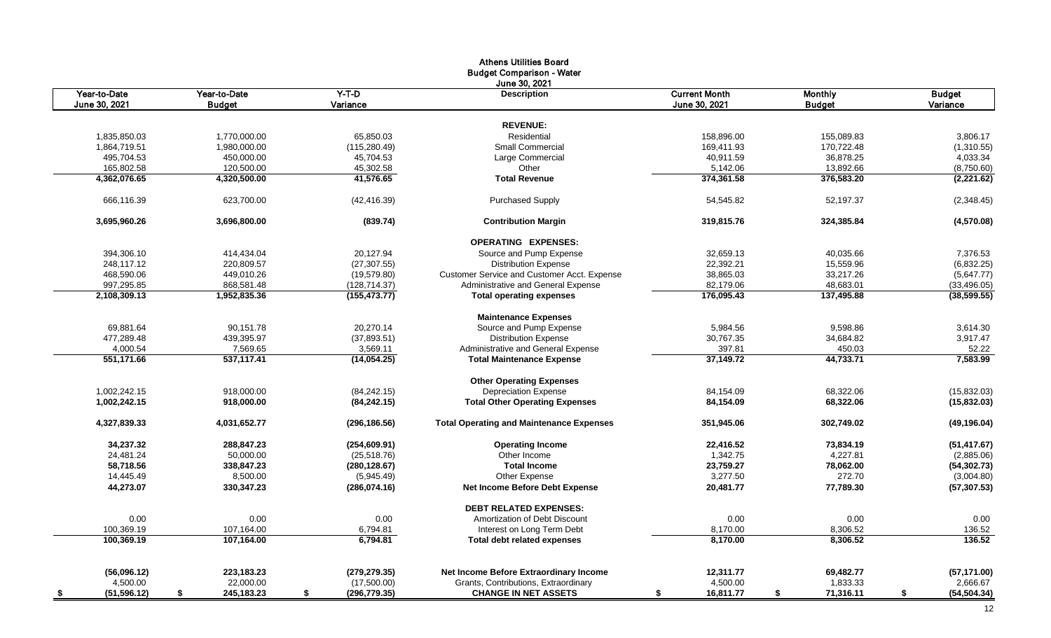|                           |                    |                     | <b>Athens Utilities Board</b>                   |                      |                 |                    |
|---------------------------|--------------------|---------------------|-------------------------------------------------|----------------------|-----------------|--------------------|
|                           |                    |                     | <b>Budget Comparison - Water</b>                |                      |                 |                    |
|                           |                    |                     | June 30, 2021                                   |                      |                 |                    |
| Year-to-Date              | Year-to-Date       | $Y-T-D$             | <b>Description</b>                              | <b>Current Month</b> | <b>Monthly</b>  | <b>Budget</b>      |
| June 30, 2021             | <b>Budget</b>      | Variance            |                                                 | June 30, 2021        | <b>Budget</b>   | Variance           |
|                           |                    |                     |                                                 |                      |                 |                    |
|                           |                    |                     | <b>REVENUE:</b>                                 |                      |                 |                    |
| 1,835,850.03              | 1.770.000.00       | 65.850.03           | Residential                                     | 158.896.00           | 155.089.83      | 3,806.17           |
| 1,864,719.51              | 1,980,000.00       | (115, 280.49)       | <b>Small Commercial</b>                         | 169,411.93           | 170,722.48      | (1,310.55)         |
| 495,704.53                | 450,000.00         | 45,704.53           | Large Commercial                                | 40,911.59            | 36,878.25       | 4,033.34           |
| 165,802.58                | 120,500.00         | 45,302.58           | Other                                           | 5,142.06             | 13,892.66       | (8,750.60)         |
| 4,362,076.65              | 4,320,500.00       | 41,576.65           | <b>Total Revenue</b>                            | 374,361.58           | 376,583.20      | (2,221.62)         |
| 666,116.39                | 623,700.00         | (42, 416.39)        | <b>Purchased Supply</b>                         | 54,545.82            | 52,197.37       | (2,348.45)         |
| 3,695,960.26              | 3,696,800.00       | (839.74)            | <b>Contribution Margin</b>                      | 319,815.76           | 324,385.84      | (4,570.08)         |
|                           |                    |                     | <b>OPERATING EXPENSES:</b>                      |                      |                 |                    |
| 394,306.10                | 414.434.04         | 20,127.94           | Source and Pump Expense                         | 32,659.13            | 40,035.66       | 7,376.53           |
| 248,117.12                | 220,809.57         | (27, 307.55)        | <b>Distribution Expense</b>                     | 22,392.21            | 15,559.96       | (6,832.25)         |
| 468,590.06                | 449,010.26         | (19, 579.80)        | Customer Service and Customer Acct. Expense     | 38,865.03            | 33,217.26       | (5,647.77)         |
| 997,295.85                | 868,581.48         | (128, 714.37)       | Administrative and General Expense              | 82,179.06            | 48,683.01       | (33, 496.05)       |
| 2,108,309.13              | 1,952,835.36       | (155, 473.77)       | <b>Total operating expenses</b>                 | 176,095.43           | 137,495.88      | (38, 599.55)       |
|                           |                    |                     | <b>Maintenance Expenses</b>                     |                      |                 |                    |
| 69,881.64                 | 90,151.78          | 20,270.14           | Source and Pump Expense                         | 5,984.56             | 9,598.86        | 3,614.30           |
| 477,289.48                | 439,395.97         | (37,893.51)         | <b>Distribution Expense</b>                     | 30,767.35            | 34,684.82       | 3,917.47           |
| 4,000.54                  | 7,569.65           | 3,569.11            | Administrative and General Expense              | 397.81               | 450.03          | 52.22              |
| 551,171.66                | 537,117.41         | (14, 054.25)        | <b>Total Maintenance Expense</b>                | 37,149.72            | 44,733.71       | 7,583.99           |
|                           |                    |                     | <b>Other Operating Expenses</b>                 |                      |                 |                    |
| 1.002.242.15              | 918.000.00         | (84, 242.15)        | <b>Depreciation Expense</b>                     | 84.154.09            | 68.322.06       | (15,832.03)        |
| 1,002,242.15              | 918,000.00         | (84, 242.15)        | <b>Total Other Operating Expenses</b>           | 84,154.09            | 68,322.06       | (15, 832.03)       |
| 4,327,839.33              | 4,031,652.77       | (296, 186.56)       | <b>Total Operating and Maintenance Expenses</b> | 351,945.06           | 302,749.02      | (49, 196.04)       |
| 34,237.32                 | 288,847.23         | (254, 609.91)       | <b>Operating Income</b>                         | 22,416.52            | 73,834.19       | (51, 417.67)       |
| 24.481.24                 | 50.000.00          | (25,518.76)         | Other Income                                    | 1,342.75             | 4,227.81        | (2,885.06)         |
| 58,718.56                 | 338,847.23         | (280, 128.67)       | <b>Total Income</b>                             | 23,759.27            | 78,062.00       | (54, 302.73)       |
| 14,445.49                 | 8,500.00           | (5,945.49)          | Other Expense                                   | 3,277.50             | 272.70          | (3,004.80)         |
| 44,273.07                 | 330,347.23         | (286,074.16)        | Net Income Before Debt Expense                  | 20,481.77            | 77,789.30       | (57, 307.53)       |
|                           |                    |                     | <b>DEBT RELATED EXPENSES:</b>                   |                      |                 |                    |
| 0.00                      | 0.00               | 0.00                | Amortization of Debt Discount                   | 0.00                 | 0.00            | 0.00               |
| 100,369.19                | 107,164.00         | 6,794.81            | Interest on Long Term Debt                      | 8,170.00             | 8,306.52        | 136.52             |
| 100,369.19                | 107,164.00         | 6.794.81            | <b>Total debt related expenses</b>              | 8,170.00             | 8,306.52        | 136.52             |
|                           |                    |                     |                                                 |                      |                 |                    |
| (56,096.12)               | 223,183.23         | (279, 279.35)       | Net Income Before Extraordinary Income          | 12,311.77            | 69,482.77       | (57, 171.00)       |
| 4,500.00                  | 22,000.00          | (17,500.00)         | Grants, Contributions, Extraordinary            | 4,500.00             | 1,833.33        | 2,666.67           |
| (51, 596.12)<br><u>\$</u> | 245, 183. 23<br>\$ | \$<br>(296, 779.35) | <b>CHANGE IN NET ASSETS</b>                     | 16,811.77<br>\$      | \$<br>71,316.11 | (54, 504.34)<br>\$ |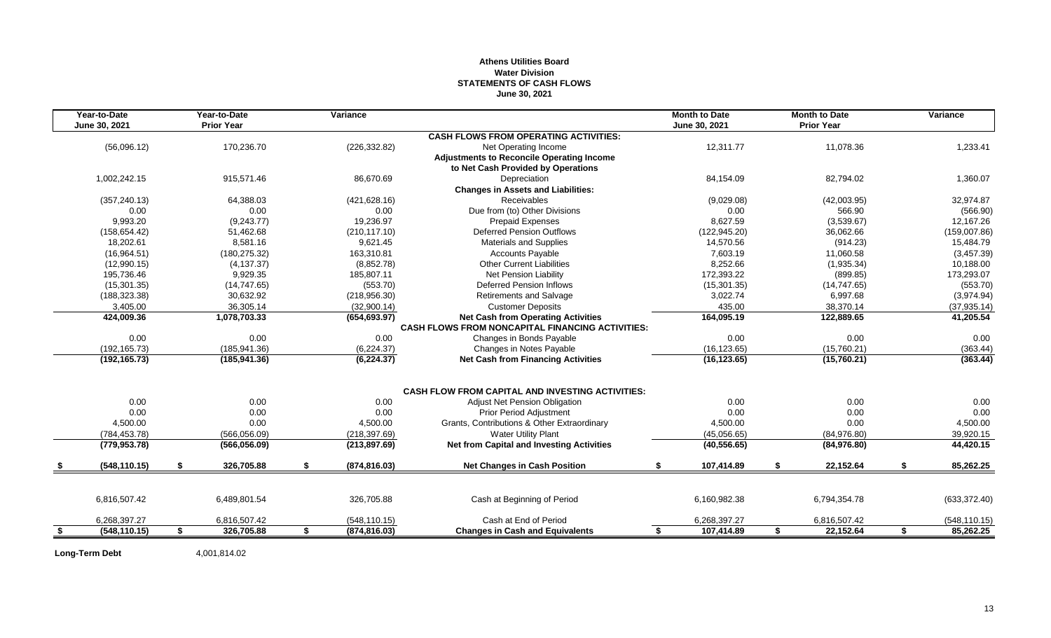# **Athens Utilities Board Water Division STATEMENTS OF CASH FLOWS June 30, 2021**

|    | Year-to-Date  | Year-to-Date      | Variance            |                                                         | <b>Month to Date</b> |    | <b>Month to Date</b> | Variance        |
|----|---------------|-------------------|---------------------|---------------------------------------------------------|----------------------|----|----------------------|-----------------|
|    | June 30, 2021 | <b>Prior Year</b> |                     |                                                         | June 30, 2021        |    | <b>Prior Year</b>    |                 |
|    |               |                   |                     | <b>CASH FLOWS FROM OPERATING ACTIVITIES:</b>            |                      |    |                      |                 |
|    | (56,096.12)   | 170,236.70        | (226, 332.82)       | Net Operating Income                                    | 12,311.77            |    | 11,078.36            | 1,233.41        |
|    |               |                   |                     | <b>Adjustments to Reconcile Operating Income</b>        |                      |    |                      |                 |
|    |               |                   |                     | to Net Cash Provided by Operations                      |                      |    |                      |                 |
|    | 1,002,242.15  | 915,571.46        | 86,670.69           | Depreciation                                            | 84,154.09            |    | 82,794.02            | 1,360.07        |
|    |               |                   |                     | <b>Changes in Assets and Liabilities:</b>               |                      |    |                      |                 |
|    | (357, 240.13) | 64,388.03         | (421, 628.16)       | Receivables                                             | (9,029.08)           |    | (42,003.95)          | 32,974.87       |
|    | 0.00          | 0.00              | 0.00                | Due from (to) Other Divisions                           | 0.00                 |    | 566.90               | (566.90)        |
|    | 9,993.20      | (9,243.77)        | 19,236.97           | <b>Prepaid Expenses</b>                                 | 8,627.59             |    | (3,539.67)           | 12,167.26       |
|    | (158, 654.42) | 51,462.68         | (210, 117.10)       | <b>Deferred Pension Outflows</b>                        | (122, 945.20)        |    | 36,062.66            | (159,007.86)    |
|    | 18,202.61     | 8,581.16          | 9,621.45            | Materials and Supplies                                  | 14,570.56            |    | (914.23)             | 15,484.79       |
|    | (16,964.51)   | (180, 275.32)     | 163,310.81          | <b>Accounts Payable</b>                                 | 7,603.19             |    | 11,060.58            | (3,457.39)      |
|    | (12,990.15)   | (4, 137.37)       | (8,852.78)          | <b>Other Current Liabilities</b>                        | 8.252.66             |    | (1,935.34)           | 10,188.00       |
|    | 195,736.46    | 9,929.35          | 185,807.11          | Net Pension Liability                                   | 172,393.22           |    | (899.85)             | 173,293.07      |
|    | (15, 301.35)  | (14, 747.65)      | (553.70)            | <b>Deferred Pension Inflows</b>                         | (15, 301.35)         |    | (14, 747.65)         | (553.70)        |
|    | (188, 323.38) | 30,632.92         | (218, 956.30)       | Retirements and Salvage                                 | 3,022.74             |    | 6,997.68             | (3,974.94)      |
|    | 3,405.00      | 36,305.14         | (32,900.14)         | <b>Customer Deposits</b>                                | 435.00               |    | 38,370.14            | (37, 935.14)    |
|    | 424,009.36    | 1,078,703.33      | (654, 693.97)       | <b>Net Cash from Operating Activities</b>               | 164,095.19           |    | 122,889.65           | 41,205.54       |
|    |               |                   |                     | <b>CASH FLOWS FROM NONCAPITAL FINANCING ACTIVITIES:</b> |                      |    |                      |                 |
|    | 0.00          | 0.00              | 0.00                | Changes in Bonds Payable                                | 0.00                 |    | 0.00                 | 0.00            |
|    | (192, 165.73) | (185, 941.36)     | (6, 224.37)         | Changes in Notes Payable                                | (16, 123.65)         |    | (15,760.21)          | (363.44)        |
|    | (192, 165.73) | (185, 941.36)     | (6, 224.37)         | <b>Net Cash from Financing Activities</b>               | (16, 123.65)         |    | (15,760.21)          | (363.44)        |
|    |               |                   |                     |                                                         |                      |    |                      |                 |
|    |               |                   |                     | <b>CASH FLOW FROM CAPITAL AND INVESTING ACTIVITIES:</b> |                      |    |                      |                 |
|    | 0.00          | 0.00              | 0.00                | Adjust Net Pension Obligation                           | 0.00                 |    | 0.00                 | 0.00            |
|    | 0.00          | 0.00              | 0.00                | <b>Prior Period Adjustment</b>                          | 0.00                 |    | 0.00                 | 0.00            |
|    | 4,500.00      | 0.00              | 4,500.00            | Grants, Contributions & Other Extraordinary             | 4,500.00             |    | 0.00                 | 4,500.00        |
|    | (784, 453.78) | (566,056.09)      | (218, 397.69)       | <b>Water Utility Plant</b>                              | (45,056.65)          |    | (84,976.80)          | 39,920.15       |
|    | (779, 953.78) | (566, 056.09)     | (213, 897.69)       | <b>Net from Capital and Investing Activities</b>        | (40, 556.65)         |    | (84,976.80)          | 44,420.15       |
|    | (548, 110.15) | \$<br>326,705.88  | \$<br>(874, 816.03) | <b>Net Changes in Cash Position</b>                     | \$<br>107,414.89     | \$ | 22,152.64            | \$<br>85,262.25 |
|    |               |                   |                     |                                                         |                      |    |                      |                 |
|    | 6,816,507.42  | 6,489,801.54      | 326,705.88          | Cash at Beginning of Period                             | 6,160,982.38         |    | 6,794,354.78         | (633, 372.40)   |
|    | 6,268,397.27  | 6,816,507.42      | (548, 110.15)       | Cash at End of Period                                   | 6,268,397.27         |    | 6,816,507.42         | (548, 110.15)   |
| -S | (548, 110.15) | \$<br>326,705.88  | \$<br>(874, 816.03) | <b>Changes in Cash and Equivalents</b>                  | \$<br>107,414.89     | S. | 22,152.64            | \$<br>85,262.25 |
|    |               |                   |                     |                                                         |                      |    |                      |                 |

**Long-Term Debt** 4,001,814.02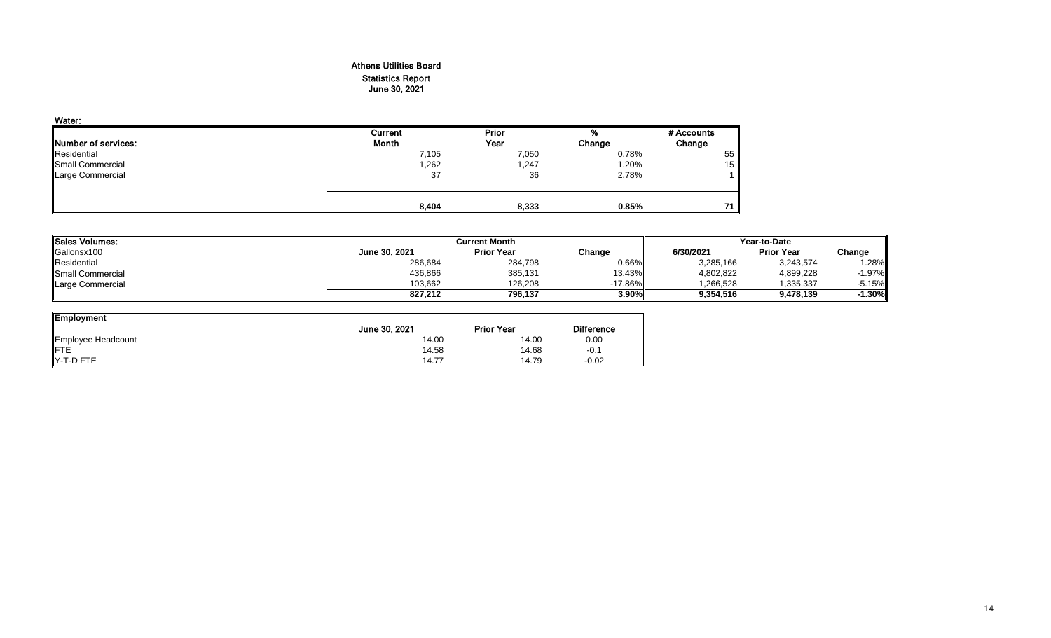# Athens Utilities Board Statistics Report June 30, 2021

| Water:                      |         |       |        |            |
|-----------------------------|---------|-------|--------|------------|
|                             | Current | Prior | %      | # Accounts |
| <b>INumber of services:</b> | Month   | Year  | Change | Change     |
| Residential                 | 7,105   | 7,050 | 0.78%  | 55         |
| <b>Small Commercial</b>     | 1,262   | 1,247 | 1.20%  | 15         |
| Large Commercial            | 37      | 36    | 2.78%  |            |
|                             | 8,404   | 8,333 | 0.85%  | 71         |

| <b>Sales Volumes:</b>   |               | <b>Current Month</b> |            |           |                   | Year-to-Date |  |  |  |
|-------------------------|---------------|----------------------|------------|-----------|-------------------|--------------|--|--|--|
| Gallonsx100             | June 30, 2021 | <b>Prior Year</b>    | Change     | 6/30/2021 | <b>Prior Year</b> | Change       |  |  |  |
| Residential             | 286,684       | 284,798              | $0.66\%$   | 3,285,166 | 3,243,574         | l.28%        |  |  |  |
| <b>Small Commercial</b> | 436,866       | 385,131              | 13.43%     | 4,802,822 | 4,899,228         | $-1.97\%$    |  |  |  |
| Large Commercial        | 103.662       | 126.208              | $-17.86\%$ | 1.266.528 | 1.335.337         | -5.15%       |  |  |  |
|                         | 827.212       | 796.137              | 3.90%      | 9.354.516 | 9,478,139         | 1.30%        |  |  |  |

| <b>Employment</b>  |               |                   |                   |
|--------------------|---------------|-------------------|-------------------|
|                    | June 30, 2021 | <b>Prior Year</b> | <b>Difference</b> |
| Employee Headcount | 14.00         | 14.00             | 0.00              |
| <b>IFTE</b>        | 14.58         | 14.68             | $-0.1$            |
| Y-T-D FTE          | 14.77         | 14.79             | $-0.02$           |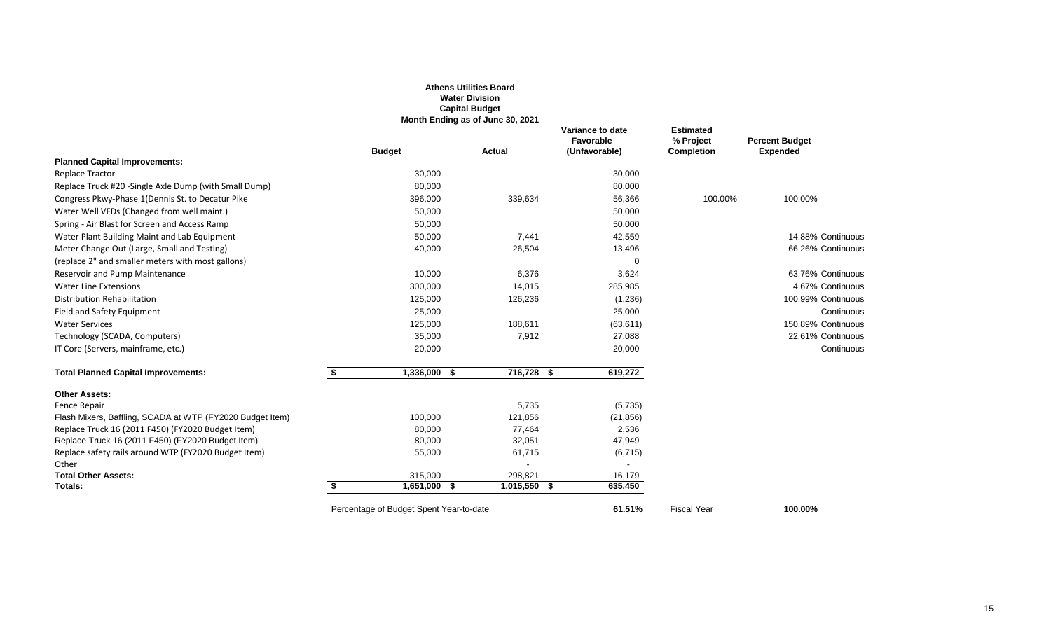|                                                           |                                         | <b>Athens Utilities Board</b><br><b>Water Division</b><br><b>Capital Budget</b><br>Month Ending as of June 30, 2021 |                                                       |                                                    |                                          |
|-----------------------------------------------------------|-----------------------------------------|---------------------------------------------------------------------------------------------------------------------|-------------------------------------------------------|----------------------------------------------------|------------------------------------------|
|                                                           | <b>Budget</b>                           | <b>Actual</b>                                                                                                       | Variance to date<br><b>Favorable</b><br>(Unfavorable) | <b>Estimated</b><br>% Project<br><b>Completion</b> | <b>Percent Budget</b><br><b>Expended</b> |
| <b>Planned Capital Improvements:</b>                      |                                         |                                                                                                                     |                                                       |                                                    |                                          |
| <b>Replace Tractor</b>                                    | 30,000                                  |                                                                                                                     | 30,000                                                |                                                    |                                          |
| Replace Truck #20 -Single Axle Dump (with Small Dump)     | 80,000                                  |                                                                                                                     | 80,000                                                |                                                    |                                          |
| Congress Pkwy-Phase 1(Dennis St. to Decatur Pike          | 396,000                                 | 339,634                                                                                                             | 56,366                                                | 100.00%                                            | 100.00%                                  |
| Water Well VFDs (Changed from well maint.)                | 50,000                                  |                                                                                                                     | 50,000                                                |                                                    |                                          |
| Spring - Air Blast for Screen and Access Ramp             | 50,000                                  |                                                                                                                     | 50,000                                                |                                                    |                                          |
| Water Plant Building Maint and Lab Equipment              | 50,000                                  | 7,441                                                                                                               | 42,559                                                |                                                    | 14.88% Continuous                        |
| Meter Change Out (Large, Small and Testing)               | 40,000                                  | 26,504                                                                                                              | 13,496                                                |                                                    | 66.26% Continuous                        |
| (replace 2" and smaller meters with most gallons)         |                                         |                                                                                                                     | $\Omega$                                              |                                                    |                                          |
| Reservoir and Pump Maintenance                            | 10,000                                  | 6,376                                                                                                               | 3,624                                                 |                                                    | 63.76% Continuous                        |
| <b>Water Line Extensions</b>                              | 300,000                                 | 14,015                                                                                                              | 285,985                                               |                                                    | 4.67% Continuous                         |
| Distribution Rehabilitation                               | 125,000                                 | 126,236                                                                                                             | (1,236)                                               |                                                    | 100.99% Continuous                       |
| Field and Safety Equipment                                | 25,000                                  |                                                                                                                     | 25,000                                                |                                                    | Continuous                               |
| <b>Water Services</b>                                     | 125,000                                 | 188,611                                                                                                             | (63, 611)                                             |                                                    | 150.89% Continuous                       |
| Technology (SCADA, Computers)                             | 35,000                                  | 7,912                                                                                                               | 27,088                                                |                                                    | 22.61% Continuous                        |
| IT Core (Servers, mainframe, etc.)                        | 20,000                                  |                                                                                                                     | 20,000                                                |                                                    | Continuous                               |
| <b>Total Planned Capital Improvements:</b>                | $1,336,000$ \$<br>\$                    | $716,728$ \$                                                                                                        | 619,272                                               |                                                    |                                          |
| <b>Other Assets:</b>                                      |                                         |                                                                                                                     |                                                       |                                                    |                                          |
| Fence Repair                                              |                                         | 5,735                                                                                                               | (5,735)                                               |                                                    |                                          |
| Flash Mixers, Baffling, SCADA at WTP (FY2020 Budget Item) | 100,000                                 | 121,856                                                                                                             | (21, 856)                                             |                                                    |                                          |
| Replace Truck 16 (2011 F450) (FY2020 Budget Item)         | 80,000                                  | 77,464                                                                                                              | 2,536                                                 |                                                    |                                          |
| Replace Truck 16 (2011 F450) (FY2020 Budget Item)         | 80,000                                  | 32,051                                                                                                              | 47,949                                                |                                                    |                                          |
| Replace safety rails around WTP (FY2020 Budget Item)      | 55,000                                  | 61,715                                                                                                              | (6, 715)                                              |                                                    |                                          |
| Other                                                     |                                         |                                                                                                                     | $\sim$                                                |                                                    |                                          |
| <b>Total Other Assets:</b><br>Totals:                     | 315,000<br>1,651,000 \$                 | 298,821<br>$1,015,550$ \$                                                                                           | 16,179<br>635,450                                     |                                                    |                                          |
|                                                           |                                         |                                                                                                                     |                                                       |                                                    |                                          |
|                                                           | Percentage of Budget Spent Year-to-date |                                                                                                                     | 61.51%                                                | <b>Fiscal Year</b>                                 | 100.00%                                  |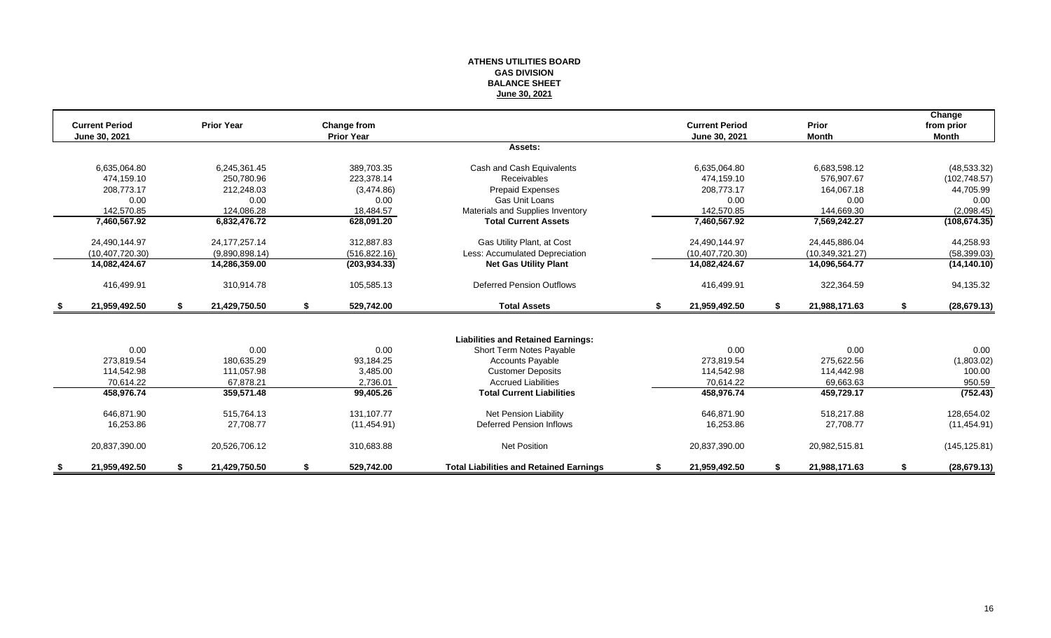#### **ATHENS UTILITIES BOARD GAS DIVISION BALANCE SHEET June 30, 2021**

|                       |                     |                    |                                                |    |                       |                     | Change             |
|-----------------------|---------------------|--------------------|------------------------------------------------|----|-----------------------|---------------------|--------------------|
| <b>Current Period</b> | <b>Prior Year</b>   | <b>Change from</b> |                                                |    | <b>Current Period</b> | <b>Prior</b>        | from prior         |
| June 30, 2021         |                     | <b>Prior Year</b>  |                                                |    | June 30, 2021         | <b>Month</b>        | <b>Month</b>       |
|                       |                     |                    | Assets:                                        |    |                       |                     |                    |
| 6,635,064.80          | 6,245,361.45        | 389,703.35         | Cash and Cash Equivalents                      |    | 6,635,064.80          | 6,683,598.12        | (48, 533.32)       |
| 474.159.10            | 250.780.96          | 223.378.14         | Receivables                                    |    | 474.159.10            | 576.907.67          | (102, 748.57)      |
| 208,773.17            | 212,248.03          | (3,474.86)         | Prepaid Expenses                               |    | 208,773.17            | 164,067.18          | 44,705.99          |
| 0.00                  | 0.00                | 0.00               | Gas Unit Loans                                 |    | 0.00                  | 0.00                | 0.00               |
| 142.570.85            | 124.086.28          | 18,484.57          | Materials and Supplies Inventory               |    | 142.570.85            | 144,669.30          | (2,098.45)         |
| 7,460,567.92          | 6,832,476.72        | 628,091.20         | <b>Total Current Assets</b>                    |    | 7,460,567.92          | 7,569,242.27        | (108, 674.35)      |
| 24.490.144.97         | 24.177.257.14       | 312.887.83         | Gas Utility Plant, at Cost                     |    | 24,490,144.97         | 24.445.886.04       | 44,258.93          |
| (10, 407, 720.30)     | (9,890,898.14)      | (516, 822.16)      | Less: Accumulated Depreciation                 |    | (10, 407, 720.30)     | (10, 349, 321.27)   | (58, 399.03)       |
| 14,082,424.67         | 14,286,359.00       | (203, 934.33)      | <b>Net Gas Utility Plant</b>                   |    | 14,082,424.67         | 14,096,564.77       | (14, 140.10)       |
| 416,499.91            | 310,914.78          | 105,585.13         | <b>Deferred Pension Outflows</b>               |    | 416,499.91            | 322,364.59          | 94,135.32          |
| \$<br>21,959,492.50   | \$<br>21,429,750.50 | \$<br>529,742.00   | <b>Total Assets</b>                            | s. | 21,959,492.50         | \$<br>21,988,171.63 | \$<br>(28, 679.13) |
|                       |                     |                    |                                                |    |                       |                     |                    |
|                       |                     |                    | <b>Liabilities and Retained Earnings:</b>      |    |                       |                     |                    |
| 0.00                  | 0.00                | 0.00               | Short Term Notes Payable                       |    | 0.00                  | 0.00                | 0.00               |
| 273,819.54            | 180,635.29          | 93,184.25          | <b>Accounts Payable</b>                        |    | 273,819.54            | 275,622.56          | (1,803.02)         |
| 114,542.98            | 111,057.98          | 3,485.00           | <b>Customer Deposits</b>                       |    | 114,542.98            | 114,442.98          | 100.00             |
| 70.614.22             | 67,878.21           | 2,736.01           | <b>Accrued Liabilities</b>                     |    | 70.614.22             | 69,663.63           | 950.59             |
| 458,976.74            | 359,571.48          | 99,405.26          | <b>Total Current Liabilities</b>               |    | 458,976.74            | 459,729.17          | (752.43)           |
| 646,871.90            | 515.764.13          | 131.107.77         | Net Pension Liability                          |    | 646,871.90            | 518,217.88          | 128,654.02         |
| 16,253.86             | 27,708.77           | (11, 454.91)       | <b>Deferred Pension Inflows</b>                |    | 16,253.86             | 27,708.77           | (11, 454.91)       |
| 20,837,390.00         | 20,526,706.12       | 310.683.88         | <b>Net Position</b>                            |    | 20,837,390.00         | 20,982,515.81       | (145, 125.81)      |
| 21,959,492.50         | 21,429,750.50       | 529,742.00         | <b>Total Liabilities and Retained Earnings</b> |    | 21,959,492.50         | 21,988,171.63       | (28, 679.13)       |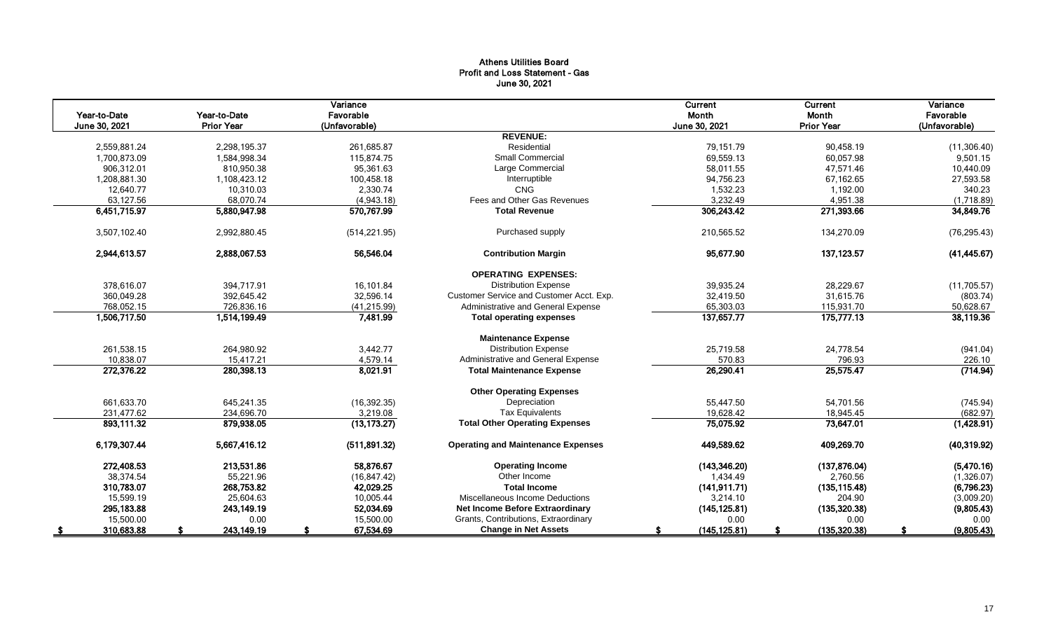# Athens Utilities Board Profit and Loss Statement - Gas June 30, 2021

|               |                   | Variance      |                                           | Current       | <b>Current</b>    | Variance      |
|---------------|-------------------|---------------|-------------------------------------------|---------------|-------------------|---------------|
| Year-to-Date  | Year-to-Date      | Favorable     |                                           | Month         | Month             | Favorable     |
| June 30, 2021 | <b>Prior Year</b> | (Unfavorable) |                                           | June 30, 2021 | <b>Prior Year</b> | (Unfavorable) |
|               |                   |               | <b>REVENUE:</b>                           |               |                   |               |
| 2,559,881.24  | 2,298,195.37      | 261,685.87    | Residential                               | 79,151.79     | 90,458.19         | (11, 306.40)  |
| 1,700,873.09  | 1,584,998.34      | 115.874.75    | <b>Small Commercial</b>                   | 69,559.13     | 60,057.98         | 9,501.15      |
| 906,312.01    | 810,950.38        | 95,361.63     | Large Commercial                          | 58,011.55     | 47,571.46         | 10,440.09     |
| 1,208,881.30  | 1,108,423.12      | 100,458.18    | Interruptible                             | 94,756.23     | 67,162.65         | 27,593.58     |
| 12,640.77     | 10,310.03         | 2,330.74      | CNG                                       | 1,532.23      | 1,192.00          | 340.23        |
| 63,127.56     | 68,070.74         | (4,943.18)    | Fees and Other Gas Revenues               | 3,232.49      | 4,951.38          | (1,718.89)    |
| 6,451,715.97  | 5,880,947.98      | 570,767.99    | <b>Total Revenue</b>                      | 306,243.42    | 271,393.66        | 34,849.76     |
| 3,507,102.40  | 2,992,880.45      | (514, 221.95) | Purchased supply                          | 210,565.52    | 134,270.09        | (76, 295.43)  |
| 2,944,613.57  | 2,888,067.53      | 56,546.04     | <b>Contribution Margin</b>                | 95,677.90     | 137, 123.57       | (41, 445.67)  |
|               |                   |               | <b>OPERATING EXPENSES:</b>                |               |                   |               |
| 378,616.07    | 394,717.91        | 16,101.84     | <b>Distribution Expense</b>               | 39,935.24     | 28,229.67         | (11, 705.57)  |
| 360,049.28    | 392,645.42        | 32,596.14     | Customer Service and Customer Acct. Exp.  | 32,419.50     | 31,615.76         | (803.74)      |
| 768,052.15    | 726,836.16        | (41, 215.99)  | Administrative and General Expense        | 65,303.03     | 115,931.70        | 50,628.67     |
| 1,506,717.50  | 1,514,199.49      | 7,481.99      | <b>Total operating expenses</b>           | 137,657.77    | 175,777.13        | 38,119.36     |
|               |                   |               | <b>Maintenance Expense</b>                |               |                   |               |
| 261,538.15    | 264,980.92        | 3,442.77      | <b>Distribution Expense</b>               | 25,719.58     | 24,778.54         | (941.04)      |
| 10,838.07     | 15.417.21         | 4,579.14      | Administrative and General Expense        | 570.83        | 796.93            | 226.10        |
| 272,376.22    | 280,398.13        | 8,021.91      | <b>Total Maintenance Expense</b>          | 26,290.41     | 25,575.47         | (714.94)      |
|               |                   |               | <b>Other Operating Expenses</b>           |               |                   |               |
| 661,633.70    | 645.241.35        | (16, 392.35)  | Depreciation                              | 55.447.50     | 54,701.56         | (745.94)      |
| 231,477.62    | 234,696.70        | 3,219.08      | <b>Tax Equivalents</b>                    | 19,628.42     | 18,945.45         | (682.97)      |
| 893,111.32    | 879,938.05        | (13, 173.27)  | <b>Total Other Operating Expenses</b>     | 75,075.92     | 73,647.01         | (1,428.91)    |
|               |                   |               |                                           |               |                   |               |
| 6,179,307.44  | 5,667,416.12      | (511, 891.32) | <b>Operating and Maintenance Expenses</b> | 449,589.62    | 409,269.70        | (40, 319.92)  |
| 272,408.53    | 213,531.86        | 58.876.67     | <b>Operating Income</b>                   | (143, 346.20) | (137, 876.04)     | (5,470.16)    |
| 38,374.54     | 55,221.96         | (16, 847.42)  | Other Income                              | 1,434.49      | 2,760.56          | (1,326.07)    |
| 310,783.07    | 268,753.82        | 42,029.25     | <b>Total Income</b>                       | (141, 911.71) | (135, 115.48)     | (6,796.23)    |
| 15,599.19     | 25,604.63         | 10.005.44     | Miscellaneous Income Deductions           | 3,214.10      | 204.90            | (3,009.20)    |
| 295,183.88    | 243,149.19        | 52,034.69     | Net Income Before Extraordinary           | (145, 125.81) | (135, 320.38)     | (9,805.43)    |
| 15,500.00     | 0.00              | 15,500.00     | Grants, Contributions, Extraordinary      | 0.00          | 0.00              | 0.00          |
| 310,683.88    | 243,149.19        | 67,534.69     | <b>Change in Net Assets</b>               | (145, 125.81) | (135, 320.38)     | (9,805.43)    |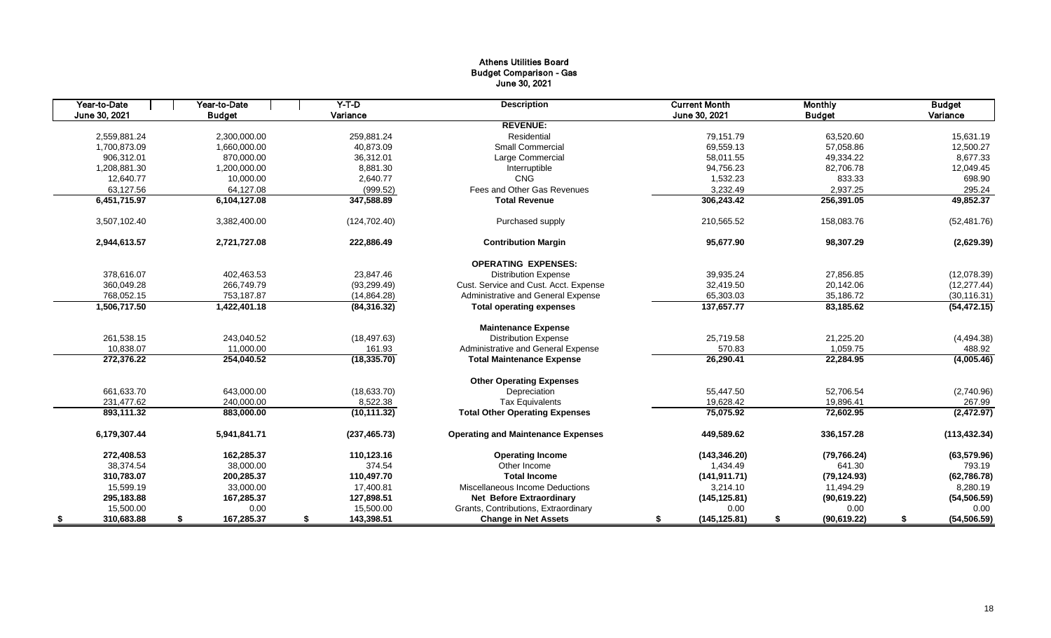# Athens Utilities Board Budget Comparison - Gas June 30, 2021

| Year-to-Date<br>June 30, 2021 | Year-to-Date<br><b>Budget</b> | $Y-T-D$<br>Variance | <b>Description</b>                        | <b>Current Month</b><br>June 30, 2021 | <b>Monthly</b><br><b>Budget</b> | <b>Budget</b><br>Variance |
|-------------------------------|-------------------------------|---------------------|-------------------------------------------|---------------------------------------|---------------------------------|---------------------------|
|                               |                               |                     | <b>REVENUE:</b>                           |                                       |                                 |                           |
| 2,559,881.24                  | 2,300,000.00                  | 259,881.24          | Residential                               | 79.151.79                             | 63,520.60                       | 15,631.19                 |
| 1,700,873.09                  | 1,660,000.00                  | 40,873.09           | Small Commercial                          | 69,559.13                             | 57,058.86                       | 12,500.27                 |
| 906.312.01                    | 870.000.00                    | 36.312.01           | Large Commercial                          | 58.011.55                             | 49.334.22                       | 8,677.33                  |
| 1,208,881.30                  | 1,200,000.00                  | 8,881.30            | Interruptible                             | 94,756.23                             | 82,706.78                       | 12,049.45                 |
| 12,640.77                     | 10,000.00                     | 2.640.77            | CNG                                       | 1,532.23                              | 833.33                          | 698.90                    |
| 63,127.56                     | 64,127.08                     | (999.52)            | Fees and Other Gas Revenues               | 3,232.49                              | 2,937.25                        | 295.24                    |
| 6,451,715.97                  | 6,104,127.08                  | 347,588.89          | <b>Total Revenue</b>                      | 306,243.42                            | 256,391.05                      | 49,852.37                 |
|                               |                               |                     |                                           |                                       |                                 |                           |
| 3,507,102.40                  | 3,382,400.00                  | (124, 702.40)       | Purchased supply                          | 210,565.52                            | 158,083.76                      | (52, 481.76)              |
| 2,944,613.57                  | 2,721,727.08                  | 222,886.49          | <b>Contribution Margin</b>                | 95,677.90                             | 98,307.29                       | (2,629.39)                |
|                               |                               |                     | <b>OPERATING EXPENSES:</b>                |                                       |                                 |                           |
| 378,616.07                    | 402,463.53                    | 23,847.46           | <b>Distribution Expense</b>               | 39,935.24                             | 27,856.85                       | (12,078.39)               |
| 360,049.28                    | 266,749.79                    | (93, 299.49)        | Cust. Service and Cust. Acct. Expense     | 32,419.50                             | 20,142.06                       | (12, 277.44)              |
| 768,052.15                    | 753,187.87                    | (14, 864.28)        | Administrative and General Expense        | 65,303.03                             | 35,186.72                       | (30, 116.31)              |
| 1,506,717.50                  | 1,422,401.18                  | (84, 316.32)        | <b>Total operating expenses</b>           | 137,657.77                            | 83,185.62                       | (54, 472.15)              |
|                               |                               |                     | <b>Maintenance Expense</b>                |                                       |                                 |                           |
| 261,538.15                    | 243,040.52                    | (18, 497.63)        | <b>Distribution Expense</b>               | 25,719.58                             | 21,225.20                       | (4,494.38)                |
| 10,838.07                     | 11,000.00                     | 161.93              | Administrative and General Expense        | 570.83                                | 1,059.75                        | 488.92                    |
| 272,376.22                    | 254,040.52                    | (18, 335.70)        | <b>Total Maintenance Expense</b>          | 26,290.41                             | 22,284.95                       | (4,005.46)                |
|                               |                               |                     | <b>Other Operating Expenses</b>           |                                       |                                 |                           |
| 661,633.70                    | 643,000.00                    | (18, 633.70)        | Depreciation                              | 55,447.50                             | 52,706.54                       | (2,740.96)                |
| 231.477.62                    | 240.000.00                    | 8,522.38            | <b>Tax Equivalents</b>                    | 19,628.42                             | 19,896.41                       | 267.99                    |
| 893,111.32                    | 883,000.00                    | (10, 111.32)        | <b>Total Other Operating Expenses</b>     | 75,075.92                             | 72,602.95                       | (2,472.97)                |
| 6,179,307.44                  | 5,941,841.71                  | (237, 465.73)       | <b>Operating and Maintenance Expenses</b> | 449,589.62                            | 336, 157.28                     | (113, 432.34)             |
| 272,408.53                    | 162,285.37                    | 110,123.16          | <b>Operating Income</b>                   | (143, 346.20)                         | (79, 766.24)                    | (63, 579.96)              |
| 38,374.54                     | 38,000.00                     | 374.54              | Other Income                              | 1,434.49                              | 641.30                          | 793.19                    |
| 310,783.07                    | 200,285.37                    | 110,497.70          | <b>Total Income</b>                       | (141, 911.71)                         | (79, 124.93)                    | (62, 786.78)              |
| 15,599.19                     | 33,000.00                     | 17,400.81           | Miscellaneous Income Deductions           | 3,214.10                              | 11,494.29                       | 8,280.19                  |
| 295,183.88                    | 167,285.37                    | 127,898.51          | <b>Net Before Extraordinary</b>           | (145, 125.81)                         | (90, 619.22)                    | (54, 506.59)              |
| 15,500.00                     | 0.00                          | 15,500.00           | Grants, Contributions, Extraordinary      | 0.00                                  | 0.00                            | 0.00                      |
| 310,683.88                    | 167,285.37<br>\$              | 143,398.51<br>\$    | <b>Change in Net Assets</b>               | (145, 125.81)<br>\$                   | (90, 619.22)<br>\$              | (54, 506.59)<br>\$        |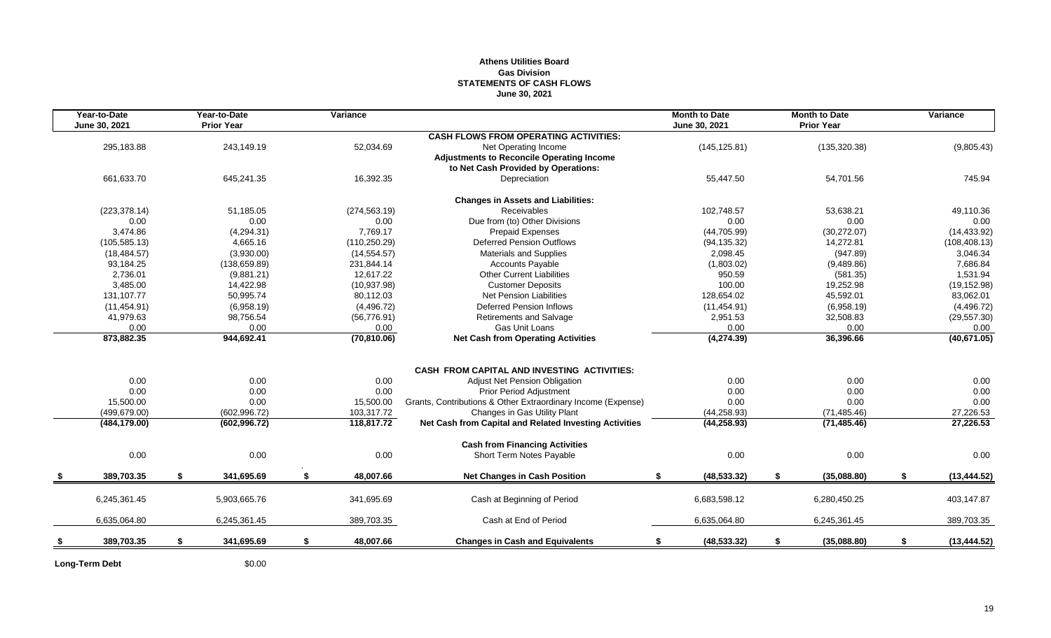# **Athens Utilities Board Gas Division STATEMENTS OF CASH FLOWS June 30, 2021**

| Year-to-Date<br>June 30, 2021 |    | Year-to-Date<br><b>Prior Year</b> |    | Variance      |                                                              | <b>Month to Date</b><br>June 30, 2021 |               | <b>Month to Date</b><br><b>Prior Year</b> | Variance           |
|-------------------------------|----|-----------------------------------|----|---------------|--------------------------------------------------------------|---------------------------------------|---------------|-------------------------------------------|--------------------|
|                               |    |                                   |    |               | <b>CASH FLOWS FROM OPERATING ACTIVITIES:</b>                 |                                       |               |                                           |                    |
| 295,183.88                    |    | 243,149.19                        |    | 52,034.69     | Net Operating Income                                         |                                       | (145, 125.81) | (135, 320.38)                             | (9,805.43)         |
|                               |    |                                   |    |               | <b>Adjustments to Reconcile Operating Income</b>             |                                       |               |                                           |                    |
|                               |    |                                   |    |               | to Net Cash Provided by Operations:                          |                                       |               |                                           |                    |
| 661,633.70                    |    | 645,241.35                        |    | 16,392.35     | Depreciation                                                 |                                       | 55,447.50     | 54,701.56                                 | 745.94             |
|                               |    |                                   |    |               | <b>Changes in Assets and Liabilities:</b>                    |                                       |               |                                           |                    |
| (223, 378.14)                 |    | 51,185.05                         |    | (274, 563.19) | Receivables                                                  |                                       | 102.748.57    | 53,638.21                                 | 49,110.36          |
| 0.00                          |    | 0.00                              |    | 0.00          | Due from (to) Other Divisions                                |                                       | 0.00          | 0.00                                      | 0.00               |
| 3,474.86                      |    | (4,294.31)                        |    | 7,769.17      | <b>Prepaid Expenses</b>                                      |                                       | (44, 705.99)  | (30, 272.07)                              | (14, 433.92)       |
| (105, 585.13)                 |    | 4,665.16                          |    | (110, 250.29) | <b>Deferred Pension Outflows</b>                             |                                       | (94, 135.32)  | 14,272.81                                 | (108, 408.13)      |
| (18, 484.57)                  |    | (3,930.00)                        |    | (14, 554.57)  | <b>Materials and Supplies</b>                                |                                       | 2,098.45      | (947.89)                                  | 3,046.34           |
| 93,184.25                     |    | (138, 659.89)                     |    | 231,844.14    | <b>Accounts Payable</b>                                      |                                       | (1,803.02)    | (9,489.86)                                | 7,686.84           |
| 2,736.01                      |    | (9,881.21)                        |    | 12,617.22     | <b>Other Current Liabilities</b>                             |                                       | 950.59        | (581.35)                                  | 1,531.94           |
| 3,485.00                      |    | 14,422.98                         |    | (10, 937.98)  | <b>Customer Deposits</b>                                     |                                       | 100.00        | 19,252.98                                 | (19, 152.98)       |
| 131,107.77                    |    | 50,995.74                         |    | 80,112.03     | <b>Net Pension Liabilities</b>                               |                                       | 128,654.02    | 45,592.01                                 | 83,062.01          |
| (11, 454.91)                  |    | (6,958.19)                        |    | (4,496.72)    | <b>Deferred Pension Inflows</b>                              |                                       | (11, 454.91)  | (6,958.19)                                | (4, 496.72)        |
| 41,979.63                     |    | 98,756.54                         |    | (56, 776.91)  | Retirements and Salvage                                      |                                       | 2,951.53      | 32,508.83                                 | (29, 557.30)       |
| 0.00                          |    | 0.00                              |    | 0.00          | Gas Unit Loans                                               |                                       | 0.00          | 0.00                                      | 0.00               |
| 873,882.35                    |    | 944,692.41                        |    | (70, 810.06)  | <b>Net Cash from Operating Activities</b>                    |                                       | (4,274.39)    | 36,396.66                                 | (40, 671.05)       |
|                               |    |                                   |    |               |                                                              |                                       |               |                                           |                    |
|                               |    |                                   |    |               | <b>CASH FROM CAPITAL AND INVESTING ACTIVITIES:</b>           |                                       |               |                                           |                    |
| 0.00                          |    | 0.00                              |    | 0.00          | <b>Adjust Net Pension Obligation</b>                         |                                       | 0.00          | 0.00                                      | 0.00               |
| 0.00                          |    | 0.00                              |    | 0.00          | <b>Prior Period Adjustment</b>                               |                                       | 0.00          | 0.00                                      | 0.00               |
| 15,500.00                     |    | 0.00                              |    | 15,500.00     | Grants, Contributions & Other Extraordinary Income (Expense) |                                       | 0.00          | 0.00                                      | 0.00               |
| (499, 679.00)                 |    | (602, 996.72)                     |    | 103,317.72    | Changes in Gas Utility Plant                                 |                                       | (44, 258.93)  | (71, 485.46)                              | 27,226.53          |
| (484, 179.00)                 |    | (602, 996.72)                     |    | 118,817.72    | Net Cash from Capital and Related Investing Activities       |                                       | (44, 258.93)  | (71, 485.46)                              | 27,226.53          |
|                               |    |                                   |    |               | <b>Cash from Financing Activities</b>                        |                                       |               |                                           |                    |
| 0.00                          |    | 0.00                              |    | 0.00          | Short Term Notes Payable                                     |                                       | 0.00          | 0.00                                      | 0.00               |
| 389,703.35                    | -S | 341,695.69                        | -S | 48,007.66     | <b>Net Changes in Cash Position</b>                          | \$.                                   | (48, 533.32)  | \$<br>(35,088.80)                         | \$<br>(13, 444.52) |
| 6,245,361.45                  |    | 5,903,665.76                      |    | 341,695.69    | Cash at Beginning of Period                                  | 6,683,598.12                          |               | 6,280,450.25                              | 403,147.87         |
|                               |    |                                   |    |               |                                                              |                                       |               |                                           |                    |
| 6,635,064.80                  |    | 6,245,361.45                      |    | 389,703.35    | Cash at End of Period                                        | 6,635,064.80                          |               | 6,245,361.45                              | 389,703.35         |
| 389,703.35                    | \$ | 341,695.69                        | \$ | 48,007.66     | <b>Changes in Cash and Equivalents</b>                       | \$                                    | (48, 533.32)  | \$<br>(35,088.80)                         | \$<br>(13, 444.52) |
|                               |    |                                   |    |               |                                                              |                                       |               |                                           |                    |

Long-Term Debt \$0.00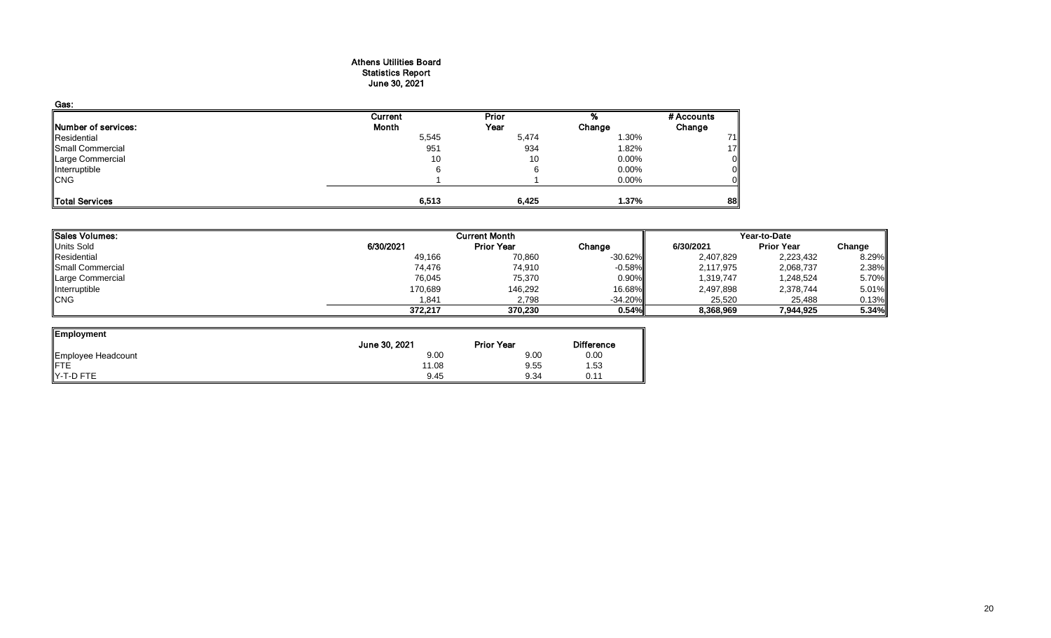#### Athens Utilities Board Statistics Report June 30, 2021

| Gas:                       |         |              |          |            |
|----------------------------|---------|--------------|----------|------------|
|                            | Current | <b>Prior</b> |          | # Accounts |
| <b>Number of services:</b> | Month   | Year         | Change   | Change     |
| Residential                | 5,545   | 5,474        | 1.30%    | 71         |
| Small Commercial           | 951     | 934          | 1.82%    | 17         |
| Large Commercial           | 10      | 10           | 0.00%    |            |
| Interruptible              | 6       |              | 0.00%    |            |
| <b>CNG</b>                 |         |              | $0.00\%$ |            |
| Total Services             | 6,513   | 6,425        | 1.37%    | 88         |

| <b>ISales Volumes:</b> |           | <b>Current Month</b> |            | Year-to-Date |                   |        |  |
|------------------------|-----------|----------------------|------------|--------------|-------------------|--------|--|
| Units Sold             | 6/30/2021 | <b>Prior Year</b>    | Change     | 6/30/2021    | <b>Prior Year</b> | Change |  |
| Residential            | 49,166    | 70,860               | $-30.62\%$ | 2,407,829    | 2,223,432         | 8.29%  |  |
| Small Commercial       | 74.476    | 74,910               | $-0.58%$   | 2,117,975    | 2,068,737         | 2.38%  |  |
| Large Commercial       | 76,045    | 75,370               | $0.90\%$   | 1,319,747    | 1,248,524         | 5.70%  |  |
| Interruptible          | 170,689   | 146,292              | 16.68%     | 2,497,898    | 2,378,744         | 5.01%  |  |
| <b>CNG</b>             | 1,841     | 2,798                | $-34.20%$  | 25,520       | 25,488            | 0.13%  |  |
|                        | 372,217   | 370,230              | 0.54%      | 8,368,969    | 7,944,925         | 5.34%  |  |

| <b>Employment</b>  |               |                   |                   |
|--------------------|---------------|-------------------|-------------------|
|                    | June 30, 2021 | <b>Prior Year</b> | <b>Difference</b> |
| Employee Headcount | 9.00          | 9.00              | 0.00              |
| FTE                | 11.08         | 9.55              | 1.53              |
| Y-T-D FTE          | 9.45          | 9.34              | 0.11              |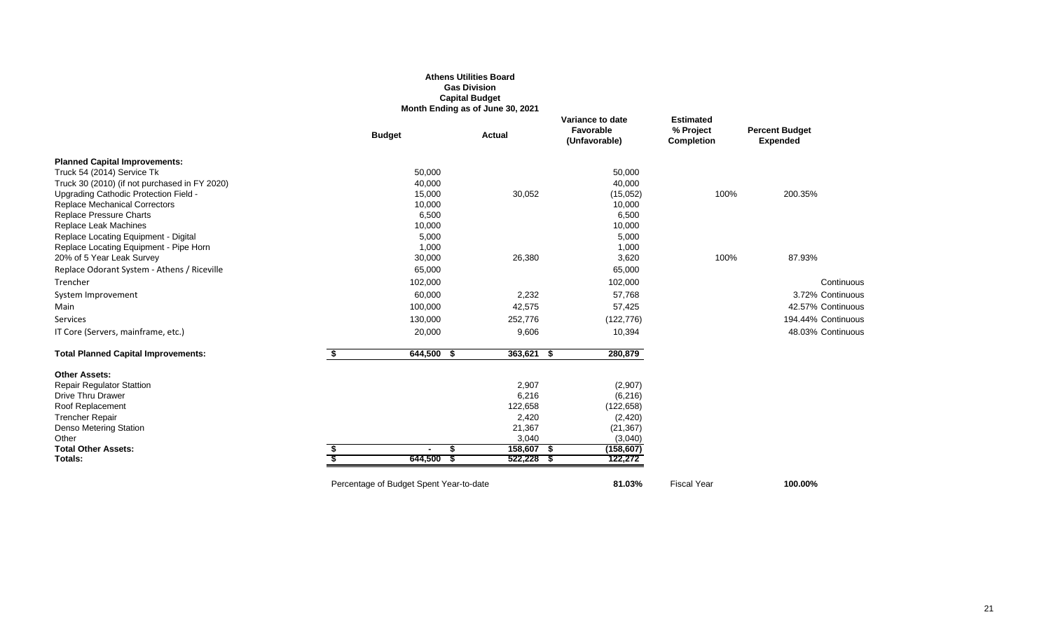## **Athens Utilities Board Gas Division Capital Budget Month Ending as of June 30, 2021**

|                                               |    | <b>Budget</b>                           | <b>Actual</b> | Variance to date<br>Favorable<br>(Unfavorable) | <b>Estimated</b><br>% Project<br><b>Completion</b> | <b>Percent Budget</b><br><b>Expended</b> |
|-----------------------------------------------|----|-----------------------------------------|---------------|------------------------------------------------|----------------------------------------------------|------------------------------------------|
| <b>Planned Capital Improvements:</b>          |    |                                         |               |                                                |                                                    |                                          |
| Truck 54 (2014) Service Tk                    |    | 50,000                                  |               | 50,000                                         |                                                    |                                          |
| Truck 30 (2010) (if not purchased in FY 2020) |    | 40,000                                  |               | 40,000                                         |                                                    |                                          |
| Upgrading Cathodic Protection Field -         |    | 15,000                                  | 30,052        | (15,052)                                       | 100%                                               | 200.35%                                  |
| <b>Replace Mechanical Correctors</b>          |    | 10,000                                  |               | 10,000                                         |                                                    |                                          |
| <b>Replace Pressure Charts</b>                |    | 6,500                                   |               | 6,500                                          |                                                    |                                          |
| Replace Leak Machines                         |    | 10,000                                  |               | 10,000                                         |                                                    |                                          |
| Replace Locating Equipment - Digital          |    | 5,000                                   |               | 5,000                                          |                                                    |                                          |
| Replace Locating Equipment - Pipe Horn        |    | 1,000                                   |               | 1,000                                          |                                                    |                                          |
| 20% of 5 Year Leak Survey                     |    | 30,000                                  | 26,380        | 3,620                                          | 100%                                               | 87.93%                                   |
| Replace Odorant System - Athens / Riceville   |    | 65,000                                  |               | 65,000                                         |                                                    |                                          |
| Trencher                                      |    | 102,000                                 |               | 102,000                                        |                                                    | Continuous                               |
| System Improvement                            |    | 60,000                                  | 2,232         | 57,768                                         |                                                    | 3.72% Continuous                         |
| Main                                          |    | 100,000                                 | 42,575        | 57,425                                         |                                                    | 42.57% Continuous                        |
| Services                                      |    | 130,000                                 | 252,776       | (122, 776)                                     |                                                    | 194.44% Continuous                       |
| IT Core (Servers, mainframe, etc.)            |    | 20,000                                  | 9,606         | 10,394                                         |                                                    | 48.03% Continuous                        |
| <b>Total Planned Capital Improvements:</b>    | S. | $644,500$ \$                            | $363,621$ \$  | 280,879                                        |                                                    |                                          |
| <b>Other Assets:</b>                          |    |                                         |               |                                                |                                                    |                                          |
| <b>Repair Regulator Stattion</b>              |    |                                         | 2,907         | (2,907)                                        |                                                    |                                          |
| Drive Thru Drawer                             |    |                                         | 6,216         | (6, 216)                                       |                                                    |                                          |
| Roof Replacement                              |    |                                         | 122,658       | (122, 658)                                     |                                                    |                                          |
| <b>Trencher Repair</b>                        |    |                                         | 2,420         | (2,420)                                        |                                                    |                                          |
| Denso Metering Station                        |    |                                         | 21,367        | (21, 367)                                      |                                                    |                                          |
| Other                                         |    |                                         | 3,040         | (3,040)                                        |                                                    |                                          |
| <b>Total Other Assets:</b>                    |    |                                         | 158,607 \$    | (158, 607)                                     |                                                    |                                          |
| Totals:                                       |    | 644,500                                 | $522,228$ \$  | 122,272                                        |                                                    |                                          |
|                                               |    | Percentage of Budget Spent Year-to-date |               | 81.03%                                         | <b>Fiscal Year</b>                                 | 100.00%                                  |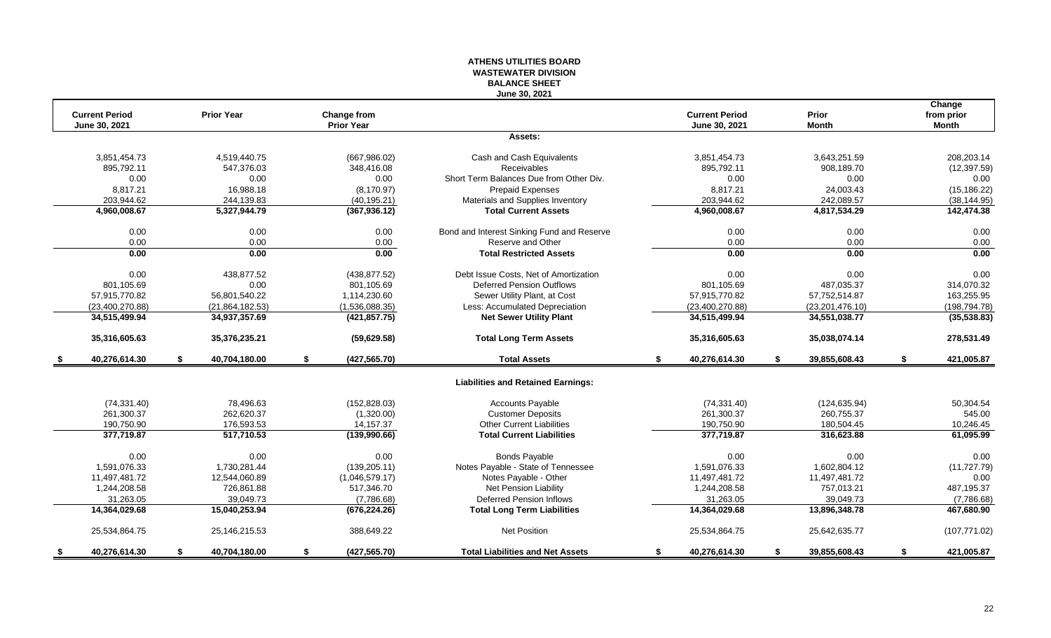#### **ATHENS UTILITIES BOARD WASTEWATER DIVISION BALANCE SHEET June 30, 2021**

| <b>Current Period</b> |    | <b>Prior Year</b> |                                  |                                            | <b>Current Period</b> |    | Prior             | Change                     |
|-----------------------|----|-------------------|----------------------------------|--------------------------------------------|-----------------------|----|-------------------|----------------------------|
| June 30, 2021         |    |                   | Change from<br><b>Prior Year</b> |                                            | June 30, 2021         |    | <b>Month</b>      | from prior<br><b>Month</b> |
|                       |    |                   |                                  | Assets:                                    |                       |    |                   |                            |
| 3.851.454.73          |    | 4.519.440.75      | (667, 986.02)                    | Cash and Cash Equivalents                  | 3,851,454.73          |    | 3,643,251.59      | 208.203.14                 |
| 895,792.11            |    | 547,376.03        | 348,416.08                       | <b>Receivables</b>                         | 895,792.11            |    | 908,189.70        | (12, 397.59)               |
| 0.00                  |    | 0.00              | 0.00                             | Short Term Balances Due from Other Div.    | 0.00                  |    | 0.00              | 0.00                       |
| 8,817.21              |    | 16,988.18         | (8, 170.97)                      | Prepaid Expenses                           | 8,817.21              |    | 24,003.43         | (15, 186.22)               |
| 203,944.62            |    | 244,139.83        | (40, 195.21)                     | Materials and Supplies Inventory           | 203,944.62            |    | 242,089.57        | (38, 144.95)               |
| 4,960,008.67          |    | 5,327,944.79      | (367, 936.12)                    | <b>Total Current Assets</b>                | 4,960,008.67          |    | 4,817,534.29      | 142,474.38                 |
| 0.00                  |    | 0.00              | 0.00                             | Bond and Interest Sinking Fund and Reserve | 0.00                  |    | 0.00              | 0.00                       |
| 0.00                  |    | 0.00              | 0.00                             | Reserve and Other                          | 0.00                  |    | 0.00              | 0.00                       |
| 0.00                  |    | 0.00              | 0.00                             | <b>Total Restricted Assets</b>             | 0.00                  |    | 0.00              | 0.00                       |
| 0.00                  |    | 438,877.52        | (438, 877.52)                    | Debt Issue Costs, Net of Amortization      | 0.00                  |    | 0.00              | 0.00                       |
| 801,105.69            |    | 0.00              | 801,105.69                       | <b>Deferred Pension Outflows</b>           | 801,105.69            |    | 487,035.37        | 314,070.32                 |
| 57,915,770.82         |    | 56,801,540.22     | 1,114,230.60                     | Sewer Utility Plant, at Cost               | 57,915,770.82         |    | 57,752,514.87     | 163,255.95                 |
| (23,400,270.88)       |    | (21, 864, 182.53) | (1,536,088.35)                   | Less: Accumulated Depreciation             | (23,400,270.88)       |    | (23, 201, 476.10) | (198, 794.78)              |
| 34,515,499.94         |    | 34,937,357.69     | (421, 857.75)                    | <b>Net Sewer Utility Plant</b>             | 34,515,499.94         |    | 34,551,038.77     | (35, 538.83)               |
| 35,316,605.63         |    | 35,376,235.21     | (59,629.58)                      | <b>Total Long Term Assets</b>              | 35,316,605.63         |    | 35,038,074.14     | 278,531.49                 |
| 40,276,614.30         | S. | 40,704,180.00     | \$<br>(427, 565.70)              | <b>Total Assets</b>                        | \$<br>40,276,614.30   | S. | 39,855,608.43     | \$<br>421,005.87           |
|                       |    |                   |                                  | <b>Liabilities and Retained Earnings:</b>  |                       |    |                   |                            |
| (74, 331.40)          |    | 78.496.63         | (152, 828.03)                    | <b>Accounts Payable</b>                    | (74, 331.40)          |    | (124, 635.94)     | 50,304.54                  |
| 261,300.37            |    | 262,620.37        | (1,320.00)                       | <b>Customer Deposits</b>                   | 261,300.37            |    | 260,755.37        | 545.00                     |
| 190,750.90            |    | 176,593.53        | 14,157.37                        | <b>Other Current Liabilities</b>           | 190,750.90            |    | 180,504.45        | 10,246.45                  |
| 377,719.87            |    | 517,710.53        | (139,990.66)                     | <b>Total Current Liabilities</b>           | 377,719.87            |    | 316,623.88        | 61,095.99                  |
| 0.00                  |    | 0.00              | 0.00                             | <b>Bonds Payable</b>                       | 0.00                  |    | 0.00              | 0.00                       |
| 1.591.076.33          |    | 1.730.281.44      | (139, 205.11)                    | Notes Payable - State of Tennessee         | 1.591.076.33          |    | 1,602,804.12      | (11, 727.79)               |
| 11,497,481.72         |    | 12,544,060.89     | (1,046,579.17)                   | Notes Payable - Other                      | 11,497,481.72         |    | 11,497,481.72     | 0.00                       |
| 1,244,208.58          |    | 726,861.88        | 517,346.70                       | Net Pension Liability                      | 1,244,208.58          |    | 757,013.21        | 487,195.37                 |
| 31,263.05             |    | 39,049.73         | (7,786.68)                       | <b>Deferred Pension Inflows</b>            | 31,263.05             |    | 39,049.73         | (7,786.68)                 |
| 14,364,029.68         |    | 15,040,253.94     | (676, 224.26)                    | <b>Total Long Term Liabilities</b>         | 14,364,029.68         |    | 13,896,348.78     | 467,680.90                 |
| 25,534,864.75         |    | 25, 146, 215. 53  | 388,649.22                       | <b>Net Position</b>                        | 25,534,864.75         |    | 25,642,635.77     | (107, 771.02)              |
| 40,276,614.30         | S. | 40,704,180.00     | \$<br>(427, 565.70)              | <b>Total Liabilities and Net Assets</b>    | \$<br>40,276,614.30   | S. | 39,855,608.43     | \$<br>421,005.87           |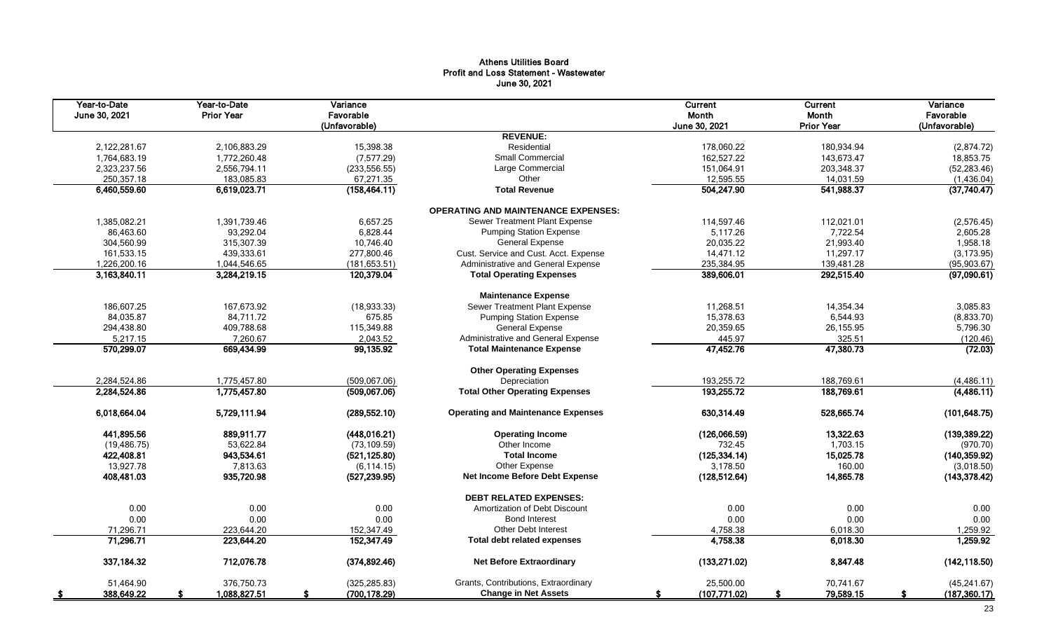# Athens Utilities Board Profit and Loss Statement - Wastewater June 30, 2021

| Year-to-Date<br>June 30, 2021 | Year-to-Date<br><b>Prior Year</b> | Variance<br>Favorable<br>(Unfavorable)        |                                            | Current<br>Month<br>June 30, 2021 | <b>Current</b><br>Month<br><b>Prior Year</b> | Variance<br>Favorable<br>(Unfavorable) |
|-------------------------------|-----------------------------------|-----------------------------------------------|--------------------------------------------|-----------------------------------|----------------------------------------------|----------------------------------------|
|                               |                                   |                                               | <b>REVENUE:</b>                            |                                   |                                              |                                        |
| 2,122,281.67                  | 2,106,883.29                      | 15,398.38                                     | Residential                                | 178,060.22                        | 180,934.94                                   | (2,874.72)                             |
| 1,764,683.19                  | 1,772,260.48                      | (7, 577.29)                                   | Small Commercial                           | 162,527.22                        | 143,673.47                                   | 18,853.75                              |
| 2,323,237.56                  | 2,556,794.11                      | (233, 556.55)                                 | Large Commercial                           | 151,064.91                        | 203,348.37                                   | (52, 283.46)                           |
| 250,357.18                    | 183,085.83                        | 67,271.35                                     | Other                                      | 12,595.55                         | 14,031.59                                    | (1,436.04)                             |
| 6,460,559.60                  | 6,619,023.71                      | (158, 464.11)                                 | <b>Total Revenue</b>                       | 504,247.90                        | 541,988.37                                   | (37,740.47)                            |
|                               |                                   |                                               | <b>OPERATING AND MAINTENANCE EXPENSES:</b> |                                   |                                              |                                        |
| 1,385,082.21                  | 1,391,739.46                      | 6,657.25                                      | Sewer Treatment Plant Expense              | 112,021.01                        | (2,576.45)                                   |                                        |
| 86,463.60                     | 93,292.04                         | 6,828.44                                      | <b>Pumping Station Expense</b>             | 5,117.26                          | 7,722.54                                     | 2,605.28                               |
| 304,560.99                    | 315,307.39                        | 10,746.40                                     | <b>General Expense</b>                     | 20,035.22                         | 21,993.40                                    | 1,958.18                               |
| 161,533.15                    | 439,333.61                        | 277,800.46                                    | Cust. Service and Cust. Acct. Expense      | 14,471.12                         | 11,297.17                                    | (3, 173.95)                            |
| 1,226,200.16                  | 1,044,546.65                      | (181, 653.51)                                 | Administrative and General Expense         | 235,384.95                        | 139,481.28                                   | (95, 903.67)                           |
| 3,163,840.11                  | 3,284,219.15                      | 120,379.04                                    | <b>Total Operating Expenses</b>            | 389,606.01                        | 292,515.40                                   | (97,090.61)                            |
|                               |                                   |                                               | <b>Maintenance Expense</b>                 |                                   |                                              |                                        |
| 186.607.25                    | 167.673.92                        | (18, 933.33)                                  | Sewer Treatment Plant Expense              | 11.268.51                         | 14.354.34                                    | 3.085.83                               |
| 84,035.87                     | 84,711.72                         | 675.85                                        | <b>Pumping Station Expense</b>             | 15,378.63                         | 6,544.93                                     | (8,833.70)                             |
| 294,438.80                    | 409,788.68                        | 115,349.88                                    | <b>General Expense</b>                     | 20,359.65                         | 26,155.95                                    | 5,796.30                               |
| 5,217.15                      | 7,260.67                          | 2,043.52                                      | Administrative and General Expense         | 445.97                            | 325.51                                       | (120.46)                               |
| 570,299.07                    | 669,434.99                        | 99,135.92<br><b>Total Maintenance Expense</b> |                                            | 47,452.76                         | 47,380.73                                    | (72.03)                                |
|                               |                                   |                                               | <b>Other Operating Expenses</b>            |                                   |                                              |                                        |
| 2,284,524.86                  | 1,775,457.80                      | (509.067.06)                                  | Depreciation                               | 193,255.72                        | 188,769.61                                   | (4,486.11)                             |
| 2,284,524.86                  | 1,775,457.80                      | (509,067.06)                                  | <b>Total Other Operating Expenses</b>      | 193,255.72                        | 188,769.61                                   | (4,486.11)                             |
| 6,018,664.04                  | 5,729,111.94                      | (289, 552.10)                                 | <b>Operating and Maintenance Expenses</b>  | 630,314.49                        | 528,665.74                                   | (101, 648.75)                          |
| 441,895.56                    | 889,911.77                        | (448, 016.21)                                 | <b>Operating Income</b>                    | (126,066.59)                      | 13,322.63                                    | (139, 389.22)                          |
| (19, 486.75)                  | 53,622.84                         | (73, 109.59)                                  | Other Income                               | 732.45                            | 1,703.15                                     | (970.70)                               |
| 422,408.81                    | 943,534.61                        | (521, 125.80)                                 | <b>Total Income</b>                        | (125, 334.14)                     | 15,025.78                                    | (140, 359.92)                          |
| 13,927.78                     | 7,813.63                          | (6, 114.15)                                   | Other Expense                              | 3,178.50                          | 160.00                                       | (3,018.50)                             |
| 408,481.03                    | 935,720.98                        | (527, 239.95)                                 | Net Income Before Debt Expense             | (128, 512.64)                     | 14,865.78                                    | (143, 378.42)                          |
|                               |                                   |                                               | <b>DEBT RELATED EXPENSES:</b>              |                                   |                                              |                                        |
| 0.00                          | 0.00                              | 0.00                                          | Amortization of Debt Discount              | 0.00                              | 0.00                                         | 0.00                                   |
| 0.00                          | 0.00                              | 0.00                                          | <b>Bond Interest</b>                       | 0.00                              | 0.00                                         | 0.00                                   |
| 71,296.71                     | 223.644.20                        | 152,347.49                                    | <b>Other Debt Interest</b>                 | 4.758.38                          |                                              | 1,259.92                               |
| 71,296.71                     | 223,644.20                        | 152,347.49                                    | Total debt related expenses                | 4,758.38                          | 6,018.30                                     | 1,259.92                               |
| 337,184.32                    | 712,076.78                        | (374, 892.46)                                 | <b>Net Before Extraordinary</b>            | (133, 271.02)<br>8,847.48         |                                              | (142, 118.50)                          |
| 51.464.90                     | 376.750.73                        | (325, 285.83)                                 | Grants, Contributions, Extraordinary       | 25,500.00                         | 70.741.67                                    | (45, 241.67)                           |
| 388,649.22<br>- 56            | 1,088,827.51                      | (700, 178.29)                                 | <b>Change in Net Assets</b>                | (107, 771.02)                     | 79,589.15                                    | (187, 360.17)<br>-S                    |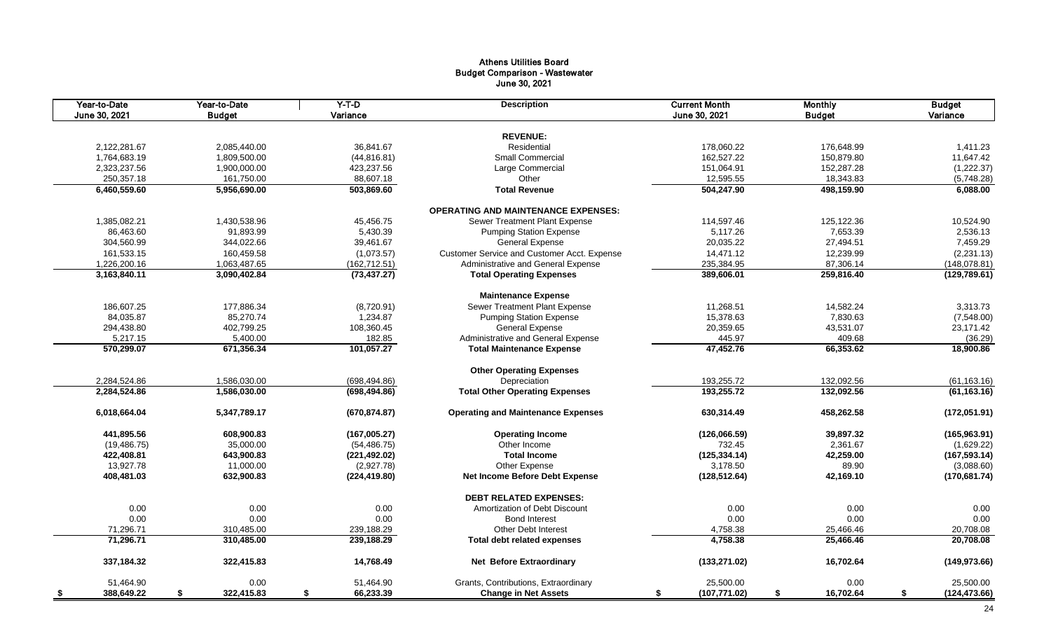# Athens Utilities Board Budget Comparison - Wastewater June 30, 2021

| Year-to-Date<br>June 30, 2021 | $Y-T-D$<br>Year-to-Date<br><b>Budget</b><br>Variance |                          | <b>Description</b>                          | <b>Current Month</b><br>June 30, 2021 | <b>Monthly</b><br><b>Budget</b> | <b>Budget</b><br>Variance |
|-------------------------------|------------------------------------------------------|--------------------------|---------------------------------------------|---------------------------------------|---------------------------------|---------------------------|
|                               |                                                      |                          |                                             |                                       |                                 |                           |
|                               |                                                      |                          | <b>REVENUE:</b>                             |                                       |                                 |                           |
| 2,122,281.67                  | 2,085,440.00                                         | 36,841.67                | Residential                                 | 178,060.22                            | 176,648.99                      | 1,411.23                  |
| 1,764,683.19                  | 1,809,500.00                                         | (44, 816.81)             | Small Commercial                            | 162,527.22                            | 150,879.80                      | 11,647.42                 |
| 2,323,237.56                  | 1,900,000.00                                         | 423,237.56               | Large Commercial                            | 151,064.91                            | 152,287.28                      | (1,222.37)                |
| 250,357.18                    | 161,750.00                                           | 88,607.18                | Other                                       | 12,595.55                             | 18,343.83                       | (5,748.28)                |
| 6,460,559.60                  | 5,956,690.00                                         | 503,869.60               | <b>Total Revenue</b>                        | 504,247.90                            | 498,159.90                      | 6,088.00                  |
|                               |                                                      |                          | <b>OPERATING AND MAINTENANCE EXPENSES:</b>  |                                       |                                 |                           |
| 1,385,082.21                  | 1,430,538.96                                         | 45,456.75                | Sewer Treatment Plant Expense               | 114,597.46                            | 125,122.36                      | 10,524.90                 |
| 86.463.60                     | 91,893.99                                            | 5,430.39                 | <b>Pumping Station Expense</b>              | 5,117.26                              | 7,653.39                        | 2,536.13                  |
| 304,560.99                    | 344,022.66                                           | 39,461.67                | General Expense                             | 20,035.22                             | 27,494.51                       | 7,459.29                  |
| 161,533.15                    | 160,459.58                                           | (1,073.57)               | Customer Service and Customer Acct. Expense | 14,471.12                             | 12,239.99                       | (2, 231.13)               |
| 1,226,200.16                  | 1,063,487.65                                         | (162, 712.51)            | Administrative and General Expense          | 235,384.95                            | 87,306.14                       | (148, 078.81)             |
| 3,163,840.11                  | 3,090,402.84                                         | (73, 437.27)             | <b>Total Operating Expenses</b>             | 389,606.01                            | 259,816.40                      | (129, 789.61)             |
|                               |                                                      |                          | <b>Maintenance Expense</b>                  |                                       |                                 |                           |
| 186,607.25                    | 177,886.34                                           | (8,720.91)               | Sewer Treatment Plant Expense               | 11,268.51                             | 14,582.24                       | 3,313.73                  |
| 84,035.87                     | 85,270.74                                            | 1,234.87                 | <b>Pumping Station Expense</b>              | 15,378.63                             | 7,830.63                        | (7,548.00)                |
| 294,438.80                    | 402,799.25                                           | 108,360.45               | <b>General Expense</b>                      | 20,359.65                             | 43,531.07                       | 23,171.42                 |
| 5,217.15                      | 5,400.00                                             | 182.85                   | Administrative and General Expense          | 445.97                                | 409.68                          | (36.29)                   |
| 570,299.07                    | 671,356.34                                           | 101,057.27               | <b>Total Maintenance Expense</b>            | 47,452.76                             | 66,353.62                       | 18,900.86                 |
|                               |                                                      |                          |                                             |                                       |                                 |                           |
|                               |                                                      |                          | <b>Other Operating Expenses</b>             |                                       |                                 |                           |
| 2,284,524.86                  | 1,586,030.00                                         | (698, 494.86)            | Depreciation                                | 193,255.72                            | 132,092.56                      | (61, 163.16)              |
| 2,284,524.86                  | 1,586,030.00                                         | (698, 494.86)            | <b>Total Other Operating Expenses</b>       | 193,255.72                            | 132,092.56                      | (61, 163.16)              |
| 6,018,664.04                  | 5,347,789.17                                         | (670, 874.87)            | <b>Operating and Maintenance Expenses</b>   | 630,314.49                            | 458,262.58                      | (172, 051.91)             |
| 441,895.56                    | 608,900.83                                           | (167,005.27)             | <b>Operating Income</b>                     | (126,066.59)                          | 39,897.32                       | (165, 963.91)             |
| (19, 486.75)                  | 35,000.00                                            | (54, 486.75)             | Other Income                                | 732.45                                | 2,361.67                        | (1,629.22)                |
| 422,408.81                    | 643,900.83                                           | (221, 492.02)            | <b>Total Income</b>                         | (125, 334.14)                         | 42,259.00                       | (167, 593.14)             |
| 13,927.78                     | 11,000.00                                            | (2,927.78)               | Other Expense                               | 3,178.50                              | 89.90                           | (3,088.60)                |
| 408,481.03                    | 632,900.83                                           | (224, 419.80)            | Net Income Before Debt Expense              | (128, 512.64)                         | 42,169.10                       | (170, 681.74)             |
|                               |                                                      |                          | <b>DEBT RELATED EXPENSES:</b>               |                                       |                                 |                           |
| 0.00                          | 0.00                                                 | 0.00                     | Amortization of Debt Discount               | 0.00                                  | 0.00                            | 0.00                      |
| 0.00                          | 0.00                                                 | 0.00                     | <b>Bond Interest</b>                        | 0.00                                  | 0.00                            | 0.00                      |
| 71,296.71                     | 310,485.00                                           |                          | Other Debt Interest                         |                                       | 25,466.46                       | 20,708.08                 |
| 71,296.71                     | 310,485.00                                           | 239,188.29<br>239,188.29 | <b>Total debt related expenses</b>          | 4,758.38<br>4,758.38                  | 25,466.46                       | 20,708.08                 |
|                               |                                                      |                          |                                             |                                       |                                 |                           |
| 337,184.32                    | 322,415.83                                           | 14,768.49                | <b>Net Before Extraordinary</b>             | (133, 271.02)                         | 16,702.64                       | (149, 973.66)             |
| 51,464.90                     | 0.00                                                 | 51,464.90                | Grants, Contributions, Extraordinary        | 25,500.00                             | 0.00                            | 25,500.00                 |
| 388,649.22<br>- \$            | \$<br>322,415.83                                     | \$<br>66,233.39          | <b>Change in Net Assets</b>                 | (107, 771.02)<br>\$                   | \$<br>16,702.64                 | \$<br>(124, 473.66)       |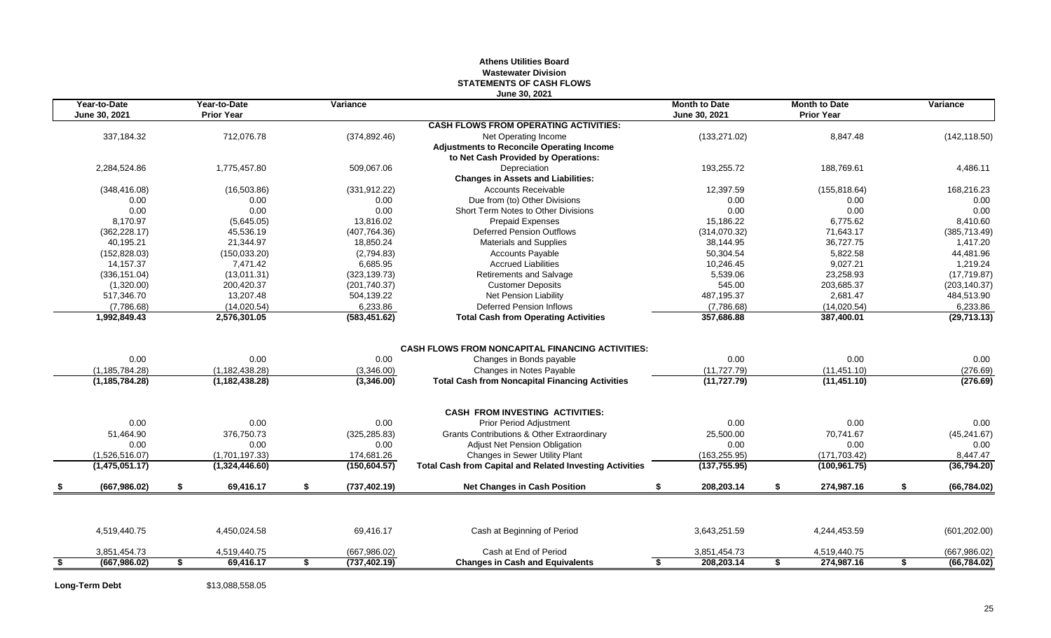## **Athens Utilities Board Wastewater Division STATEMENTS OF CASH FLOWS June 30, 2021**

| Year-to-Date<br>June 30, 2021 |      | Year-to-Date<br><b>Prior Year</b> |    | Variance      |                                                                 | <b>Month to Date</b><br>June 30, 2021 |    | <b>Month to Date</b><br><b>Prior Year</b> |    | Variance      |
|-------------------------------|------|-----------------------------------|----|---------------|-----------------------------------------------------------------|---------------------------------------|----|-------------------------------------------|----|---------------|
|                               |      |                                   |    |               | <b>CASH FLOWS FROM OPERATING ACTIVITIES:</b>                    |                                       |    |                                           |    |               |
| 337,184.32                    |      | 712,076.78                        |    | (374, 892.46) | Net Operating Income                                            | (133, 271.02)                         |    | 8,847.48                                  |    | (142, 118.50) |
|                               |      |                                   |    |               | <b>Adjustments to Reconcile Operating Income</b>                |                                       |    |                                           |    |               |
|                               |      |                                   |    |               | to Net Cash Provided by Operations:                             |                                       |    |                                           |    |               |
| 2,284,524.86                  |      | 1,775,457.80                      |    | 509,067.06    | Depreciation                                                    | 193,255.72                            |    | 188,769.61                                |    | 4,486.11      |
|                               |      |                                   |    |               | <b>Changes in Assets and Liabilities:</b>                       |                                       |    |                                           |    |               |
| (348, 416.08)                 |      | (16, 503.86)                      |    | (331, 912.22) | <b>Accounts Receivable</b>                                      | 12,397.59                             |    | (155, 818.64)                             |    | 168,216.23    |
| 0.00                          |      | 0.00                              |    | 0.00          | Due from (to) Other Divisions                                   | 0.00                                  |    | 0.00                                      |    | 0.00          |
| 0.00                          |      | 0.00                              |    | 0.00          | Short Term Notes to Other Divisions                             | 0.00                                  |    | 0.00                                      |    | 0.00          |
| 8.170.97                      |      | (5,645.05)                        |    | 13,816.02     | <b>Prepaid Expenses</b>                                         | 15,186.22                             |    | 6,775.62                                  |    | 8,410.60      |
| (362, 228.17)                 |      | 45,536.19                         |    | (407, 764.36) | <b>Deferred Pension Outflows</b>                                | (314,070.32)                          |    | 71,643.17                                 |    | (385, 713.49) |
| 40,195.21                     |      | 21.344.97                         |    | 18,850.24     | <b>Materials and Supplies</b>                                   | 38,144.95                             |    | 36,727.75                                 |    | 1,417.20      |
| (152, 828.03)                 |      | (150, 033.20)                     |    | (2,794.83)    | <b>Accounts Payable</b>                                         | 50,304.54                             |    | 5,822.58                                  |    | 44,481.96     |
| 14,157.37                     |      | 7,471.42                          |    | 6,685.95      | <b>Accrued Liabilities</b>                                      | 10,246.45                             |    | 9,027.21                                  |    | 1,219.24      |
| (336, 151.04)                 |      | (13,011.31)                       |    | (323, 139.73) | Retirements and Salvage                                         | 5,539.06                              |    | 23.258.93                                 |    | (17, 719.87)  |
| (1,320.00)                    |      | 200,420.37                        |    | (201, 740.37) | <b>Customer Deposits</b>                                        | 545.00                                |    | 203,685.37                                |    | (203, 140.37) |
| 517,346.70                    |      | 13,207.48                         |    | 504,139.22    | Net Pension Liability                                           | 487,195.37                            |    | 2,681.47                                  |    | 484,513.90    |
| (7,786.68)                    |      | (14,020.54)                       |    | 6,233.86      | <b>Deferred Pension Inflows</b>                                 | (7,786.68)                            |    | (14,020.54)                               |    | 6,233.86      |
| 1,992,849.43                  |      | 2,576,301.05                      |    | (583, 451.62) | <b>Total Cash from Operating Activities</b>                     | 357,686.88                            |    | 387,400.01                                |    | (29, 713.13)  |
|                               |      |                                   |    |               |                                                                 |                                       |    |                                           |    |               |
|                               |      |                                   |    |               | <b>CASH FLOWS FROM NONCAPITAL FINANCING ACTIVITIES:</b>         |                                       |    |                                           |    |               |
| 0.00                          |      | 0.00                              |    | 0.00          | Changes in Bonds payable                                        | 0.00                                  |    | 0.00                                      |    | 0.00          |
| (1, 185, 784.28)              |      | (1, 182, 438.28)                  |    | (3,346.00)    | Changes in Notes Payable                                        | (11, 727.79)                          |    | (11, 451.10)                              |    | (276.69)      |
| (1, 185, 784.28)              |      | (1, 182, 438.28)                  |    | (3,346.00)    | <b>Total Cash from Noncapital Financing Activities</b>          | (11, 727.79)                          |    | (11, 451.10)                              |    | (276.69)      |
|                               |      |                                   |    |               | <b>CASH FROM INVESTING ACTIVITIES:</b>                          |                                       |    |                                           |    |               |
| 0.00                          |      | 0.00                              |    | 0.00          | Prior Period Adjustment                                         | 0.00                                  |    | 0.00                                      |    | 0.00          |
| 51,464.90                     |      | 376,750.73                        |    | (325, 285.83) | <b>Grants Contributions &amp; Other Extraordinary</b>           | 25,500.00                             |    | 70,741.67                                 |    | (45, 241.67)  |
| 0.00                          |      | 0.00                              |    | 0.00          | <b>Adjust Net Pension Obligation</b>                            | 0.00                                  |    | 0.00                                      |    | 0.00          |
| (1,526,516.07)                |      | (1,701,197.33)                    |    | 174,681.26    | <b>Changes in Sewer Utility Plant</b>                           | (163, 255.95)                         |    | (171, 703.42)                             |    | 8,447.47      |
| (1,475,051.17)                |      | (1,324,446.60)                    |    | (150, 604.57) | <b>Total Cash from Capital and Related Investing Activities</b> | (137, 755.95)                         |    | (100, 961.75)                             |    | (36,794.20)   |
| (667, 986.02)                 | \$   | 69,416.17                         | \$ | (737, 402.19) | <b>Net Changes in Cash Position</b>                             | 208,203.14<br>\$                      | \$ | 274,987.16                                | \$ | (66, 784.02)  |
|                               |      |                                   |    |               |                                                                 |                                       |    |                                           |    |               |
| 4,519,440.75                  |      | 4,450,024.58                      |    | 69,416.17     | Cash at Beginning of Period                                     | 3,643,251.59                          |    | 4,244,453.59                              |    | (601, 202.00) |
| 3,851,454.73                  |      | 4,519,440.75                      |    | (667, 986.02) | Cash at End of Period                                           | 3,851,454.73                          |    | 4,519,440.75                              |    | (667, 986.02) |
| (667, 986.02)                 | - 56 | 69,416.17                         | S  | (737, 402.19) | <b>Changes in Cash and Equivalents</b>                          | 208.203.14<br>S.                      | \$ | 274,987.16                                | \$ | (66, 784.02)  |
|                               |      |                                   |    |               |                                                                 |                                       |    |                                           |    |               |

**Long-Term Debt** \$13,088,558.05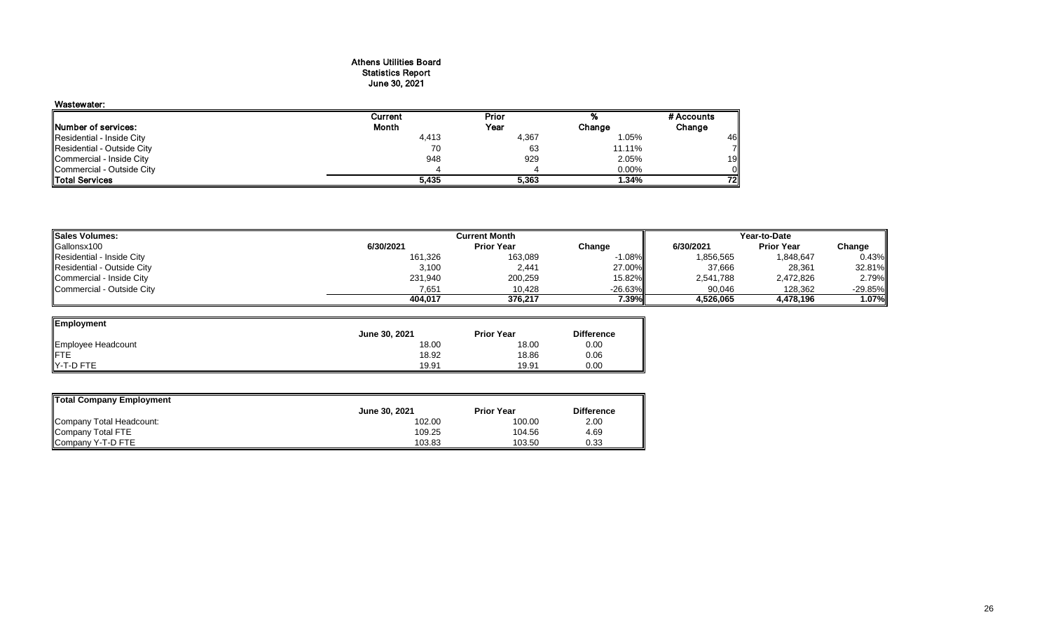## Athens Utilities Board Statistics Report June 30, 2021

## Wastewater: Current Prior % #Accounts<br>
Month Year Change Change Prior **Number of services:** Change Change Change Residential - Inside City **Change 2.05%**<br>Residential - Inside City **Change 2.05%** Residential - Inside City **Act as a constructed by Construction** and the set of the set of the set of the set of<br>Residential - Outside City **Act and Act and Act and Act and Act and Act and Act and Act and Act and Act and A** Residential - Outside City 70 63 11.11% 7 Commercial - Inside City 948 929 2.05% 19 Commercial - Outside City 4 4 0.00% 0 Total Services **5,435 5,363 1.34% 72**

| <b>Sales Volumes:</b>      |           | Current Month     |            |           | Year-to-Date      |            |  |  |  |
|----------------------------|-----------|-------------------|------------|-----------|-------------------|------------|--|--|--|
| Gallonsx100                | 6/30/2021 | <b>Prior Year</b> | Change     | 6/30/2021 | <b>Prior Year</b> | Change     |  |  |  |
| Residential - Inside City  | 161,326   | 163,089           | $-1.08\%$  | 1,856,565 | 1,848,647         | 0.43%      |  |  |  |
| Residential - Outside City | 3,100     | 2,441             | 27.00%     | 37,666    | 28,361            | 32.81%     |  |  |  |
| Commercial - Inside City   | 231,940   | 200,259           | 15.82%l    | 2,541,788 | 2,472,826         | 2.79%      |  |  |  |
| Commercial - Outside City  | 7,651     | 10,428            | $-26.63\%$ | 90,046    | 128,362           | $-29.85\%$ |  |  |  |
|                            | 404.017   | 376.217           | 7.39%      | 4.526.065 | 4,478,196         | 1.07%      |  |  |  |

| Employment         |               |                   |                   |
|--------------------|---------------|-------------------|-------------------|
|                    | June 30, 2021 | <b>Prior Year</b> | <b>Difference</b> |
| Employee Headcount | 18.00         | 18.00             | 0.00              |
|                    | 18.92         | 18.86             | 0.06              |
| Y-T-D FTE          | 19.91         | 19.91             | 0.00              |

| Total Company Employment |               |                   |                   |  |  |  |  |  |  |  |
|--------------------------|---------------|-------------------|-------------------|--|--|--|--|--|--|--|
|                          | June 30, 2021 | <b>Prior Year</b> | <b>Difference</b> |  |  |  |  |  |  |  |
| Company Total Headcount: | 102.00        | 100.00            | 2.00              |  |  |  |  |  |  |  |
| Company Total FTE        | 109.25        | 104.56            | 4.69              |  |  |  |  |  |  |  |
| Company Y-T-D FTE        | 103.83        | 103.50            | 0.33              |  |  |  |  |  |  |  |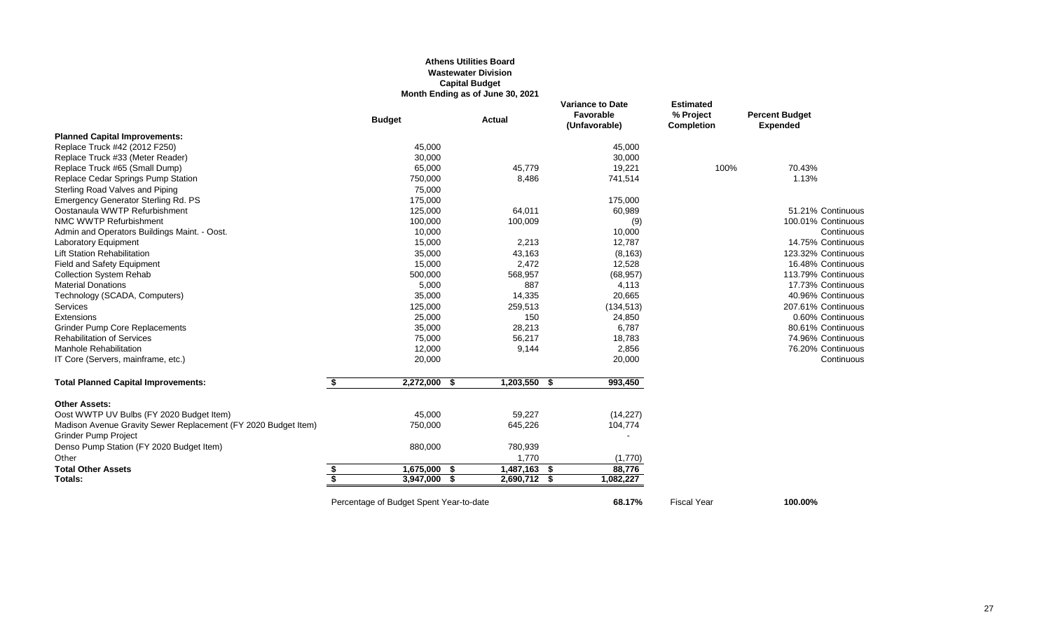## **Athens Utilities Board Wastewater Division Capital Budget Month Ending as of June 30, 2021**

|                                                                |    | <b>Budget</b>                           | <b>Actual</b> |                | <b>Variance to Date</b><br>Favorable<br>(Unfavorable) |            | <b>Estimated</b><br>% Project<br><b>Completion</b> | <b>Percent Budget</b><br><b>Expended</b> |
|----------------------------------------------------------------|----|-----------------------------------------|---------------|----------------|-------------------------------------------------------|------------|----------------------------------------------------|------------------------------------------|
| <b>Planned Capital Improvements:</b>                           |    |                                         |               |                |                                                       |            |                                                    |                                          |
| Replace Truck #42 (2012 F250)                                  |    | 45,000                                  |               |                |                                                       | 45,000     |                                                    |                                          |
| Replace Truck #33 (Meter Reader)                               |    | 30,000                                  |               |                |                                                       | 30,000     |                                                    |                                          |
| Replace Truck #65 (Small Dump)                                 |    | 65,000                                  |               | 45,779         |                                                       | 19,221     | 100%                                               | 70.43%                                   |
| Replace Cedar Springs Pump Station                             |    | 750,000                                 |               | 8,486          |                                                       | 741,514    |                                                    | 1.13%                                    |
| Sterling Road Valves and Piping                                |    | 75,000                                  |               |                |                                                       |            |                                                    |                                          |
| Emergency Generator Sterling Rd. PS                            |    | 175,000                                 |               |                |                                                       | 175,000    |                                                    |                                          |
| Oostanaula WWTP Refurbishment                                  |    | 125,000                                 |               | 64,011         |                                                       | 60,989     |                                                    | 51.21% Continuous                        |
| NMC WWTP Refurbishment                                         |    | 100,000                                 |               | 100,009        |                                                       | (9)        |                                                    | 100.01% Continuous                       |
| Admin and Operators Buildings Maint. - Oost.                   |    | 10,000                                  |               |                |                                                       | 10,000     |                                                    | Continuous                               |
| <b>Laboratory Equipment</b>                                    |    | 15,000                                  |               | 2,213          |                                                       | 12,787     |                                                    | 14.75% Continuous                        |
| <b>Lift Station Rehabilitation</b>                             |    | 35,000                                  |               | 43,163         |                                                       | (8, 163)   |                                                    | 123.32% Continuous                       |
| <b>Field and Safety Equipment</b>                              |    | 15,000                                  |               | 2,472          |                                                       | 12,528     |                                                    | 16.48% Continuous                        |
| <b>Collection System Rehab</b>                                 |    | 500,000                                 |               | 568,957        |                                                       | (68, 957)  |                                                    | 113.79% Continuous                       |
| <b>Material Donations</b>                                      |    | 5,000                                   |               | 887            |                                                       | 4,113      |                                                    | 17.73% Continuous                        |
| Technology (SCADA, Computers)                                  |    | 35,000                                  |               | 14,335         |                                                       | 20,665     |                                                    | 40.96% Continuous                        |
| <b>Services</b>                                                |    | 125,000                                 |               | 259,513        |                                                       | (134, 513) |                                                    | 207.61% Continuous                       |
| Extensions                                                     |    | 25,000                                  |               | 150            |                                                       | 24,850     |                                                    | 0.60% Continuous                         |
| <b>Grinder Pump Core Replacements</b>                          |    | 35,000                                  |               | 28,213         |                                                       | 6,787      |                                                    | 80.61% Continuous                        |
| <b>Rehabilitation of Services</b>                              |    | 75,000                                  |               | 56,217         |                                                       | 18,783     |                                                    | 74.96% Continuous                        |
| <b>Manhole Rehabilitation</b>                                  |    | 12,000                                  |               | 9,144          |                                                       | 2,856      |                                                    | 76.20% Continuous                        |
| IT Core (Servers, mainframe, etc.)                             |    | 20,000                                  |               |                |                                                       | 20,000     |                                                    | Continuous                               |
| <b>Total Planned Capital Improvements:</b>                     | \$ | $2,272,000$ \$                          |               | $1,203,550$ \$ |                                                       | 993,450    |                                                    |                                          |
| <b>Other Assets:</b>                                           |    |                                         |               |                |                                                       |            |                                                    |                                          |
| Oost WWTP UV Bulbs (FY 2020 Budget Item)                       |    | 45,000                                  |               | 59,227         |                                                       | (14, 227)  |                                                    |                                          |
| Madison Avenue Gravity Sewer Replacement (FY 2020 Budget Item) |    | 750,000                                 |               | 645,226        |                                                       | 104,774    |                                                    |                                          |
| <b>Grinder Pump Project</b>                                    |    |                                         |               |                |                                                       |            |                                                    |                                          |
| Denso Pump Station (FY 2020 Budget Item)                       |    | 880,000                                 |               | 780,939        |                                                       |            |                                                    |                                          |
| Other                                                          |    |                                         |               | 1,770          |                                                       | (1,770)    |                                                    |                                          |
| <b>Total Other Assets</b>                                      | \$ | 1,675,000                               | - 5           | 1,487,163      | \$                                                    | 88,776     |                                                    |                                          |
| Totals:                                                        | S, | 3,947,000                               | - \$          | 2,690,712 \$   |                                                       | 1,082,227  |                                                    |                                          |
|                                                                |    | Percentage of Budget Spent Year-to-date |               |                |                                                       | 68.17%     | <b>Fiscal Year</b>                                 | 100.00%                                  |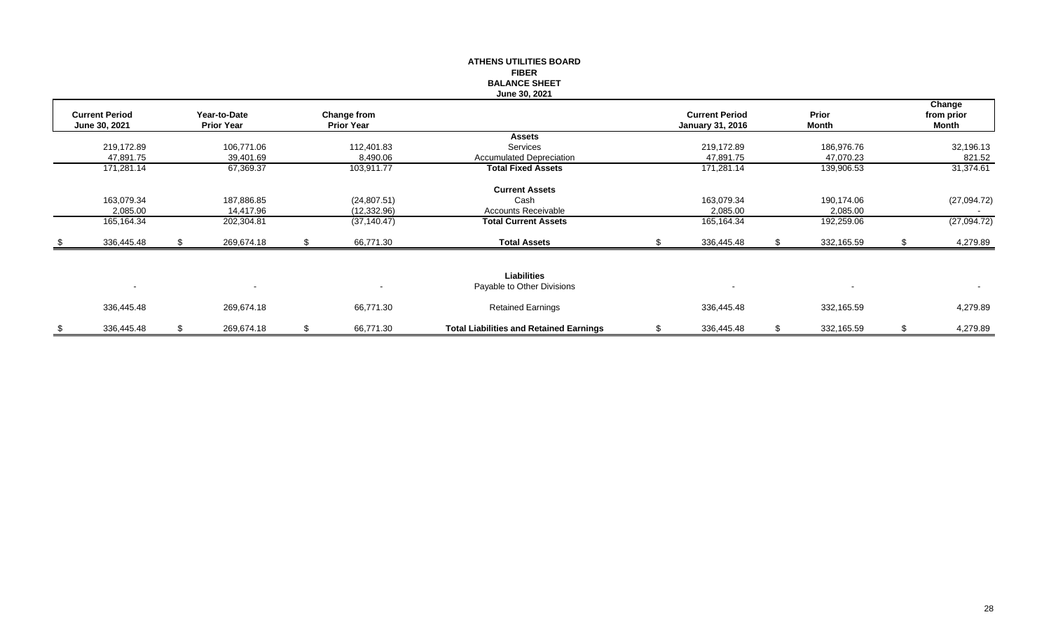|      |                       |                   |              |                   |              | <b>ATHENS UTILITIES BOARD</b>                  |                         |       |            |       |             |
|------|-----------------------|-------------------|--------------|-------------------|--------------|------------------------------------------------|-------------------------|-------|------------|-------|-------------|
|      |                       |                   |              |                   |              | <b>FIBER</b>                                   |                         |       |            |       |             |
|      |                       |                   |              |                   |              | <b>BALANCE SHEET</b>                           |                         |       |            |       |             |
|      |                       |                   |              |                   |              | June 30, 2021                                  |                         |       |            |       |             |
|      |                       |                   |              |                   |              |                                                |                         |       |            |       | Change      |
|      | <b>Current Period</b> |                   | Year-to-Date |                   | Change from  |                                                | <b>Current Period</b>   |       | Prior      |       | from prior  |
|      | June 30, 2021         | <b>Prior Year</b> |              | <b>Prior Year</b> |              |                                                | <b>January 31, 2016</b> | Month |            | Month |             |
|      |                       |                   |              |                   |              | <b>Assets</b>                                  |                         |       |            |       |             |
|      | 219,172.89            |                   | 106,771.06   |                   | 112,401.83   | Services                                       | 219,172.89              |       | 186,976.76 |       | 32,196.13   |
|      | 47,891.75             |                   | 39,401.69    |                   | 8,490.06     | <b>Accumulated Depreciation</b>                | 47,891.75               |       | 47,070.23  |       | 821.52      |
|      | 171,281.14            |                   | 67,369.37    |                   | 103,911.77   | <b>Total Fixed Assets</b>                      | 171,281.14              |       | 139,906.53 |       | 31,374.61   |
|      |                       |                   |              |                   |              | <b>Current Assets</b>                          |                         |       |            |       |             |
|      | 163,079.34            |                   | 187,886.85   |                   | (24, 807.51) | Cash                                           | 163,079.34              |       | 190,174.06 |       | (27,094.72) |
|      | 2,085.00              |                   | 14,417.96    |                   | (12, 332.96) | Accounts Receivable                            | 2,085.00                |       | 2,085.00   |       |             |
|      | 165,164.34            |                   | 202,304.81   |                   | (37, 140.47) | <b>Total Current Assets</b>                    | 165,164.34              |       | 192,259.06 |       | (27,094.72) |
| - \$ | 336,445.48            |                   | 269,674.18   | S.                | 66,771.30    | <b>Total Assets</b>                            | 336,445.48              |       | 332,165.59 | £.    | 4,279.89    |
|      |                       |                   |              |                   |              |                                                |                         |       |            |       |             |
|      |                       |                   |              |                   |              | Liabilities                                    |                         |       |            |       |             |
|      | $\sim$                |                   |              |                   |              | Payable to Other Divisions                     |                         |       |            |       | $\sim$      |
|      | 336,445.48            |                   | 269,674.18   |                   | 66,771.30    | <b>Retained Earnings</b>                       | 336,445.48              |       | 332,165.59 |       | 4,279.89    |
| \$   | 336,445.48            | \$                | 269,674.18   | \$                | 66,771.30    | <b>Total Liabilities and Retained Earnings</b> | \$<br>336,445.48        | \$    | 332,165.59 | \$    | 4,279.89    |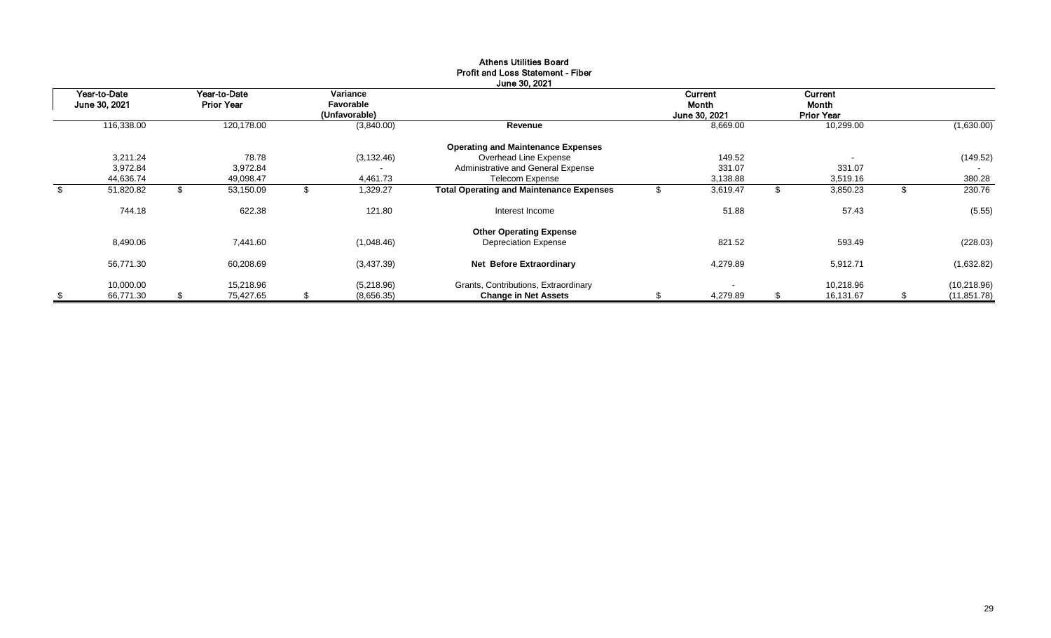| Year-to-Date<br>June 30, 2021 |            | Year-to-Date<br><b>Prior Year</b> |            | Variance<br>Favorable<br>(Unfavorable) |             |                                                 | <b>Current</b><br>Month<br>June 30, 2021 |          | Current<br>Month<br><b>Prior Year</b> |           |              |
|-------------------------------|------------|-----------------------------------|------------|----------------------------------------|-------------|-------------------------------------------------|------------------------------------------|----------|---------------------------------------|-----------|--------------|
|                               | 116,338.00 |                                   | 120,178.00 |                                        | (3,840.00)  | Revenue                                         |                                          | 8,669.00 |                                       | 10,299.00 | (1,630.00)   |
|                               |            |                                   |            |                                        |             | <b>Operating and Maintenance Expenses</b>       |                                          |          |                                       |           |              |
|                               | 3,211.24   |                                   | 78.78      |                                        | (3, 132.46) | Overhead Line Expense                           |                                          | 149.52   |                                       |           | (149.52)     |
|                               | 3,972.84   |                                   | 3,972.84   |                                        |             | Administrative and General Expense              |                                          | 331.07   |                                       | 331.07    |              |
|                               | 44,636.74  |                                   | 49,098.47  |                                        | 4,461.73    | Telecom Expense                                 |                                          | 3,138.88 |                                       | 3,519.16  | 380.28       |
| -\$                           | 51,820.82  |                                   | 53,150.09  |                                        | 1,329.27    | <b>Total Operating and Maintenance Expenses</b> |                                          | 3,619.47 |                                       | 3,850.23  | 230.76       |
|                               | 744.18     |                                   | 622.38     |                                        | 121.80      | Interest Income                                 |                                          | 51.88    |                                       | 57.43     | (5.55)       |
|                               |            |                                   |            |                                        |             | <b>Other Operating Expense</b>                  |                                          |          |                                       |           |              |
|                               | 8,490.06   |                                   | 7,441.60   |                                        | (1,048.46)  | <b>Depreciation Expense</b>                     |                                          | 821.52   |                                       | 593.49    | (228.03)     |
|                               | 56,771.30  |                                   | 60,208.69  |                                        | (3,437.39)  | Net Before Extraordinary                        |                                          | 4,279.89 |                                       | 5,912.71  | (1,632.82)   |
|                               | 10,000.00  |                                   | 15,218.96  |                                        | (5,218.96)  | Grants, Contributions, Extraordinary            |                                          |          |                                       | 10,218.96 | (10, 218.96) |
| -\$                           | 66,771.30  | \$                                | 75.427.65  | \$                                     | (8,656.35)  | <b>Change in Net Assets</b>                     | S                                        | 4,279.89 |                                       | 16,131.67 | (11, 851.78) |

#### Athens Utilities Board Profit and Loss Statement - Fiber June 30, 2021